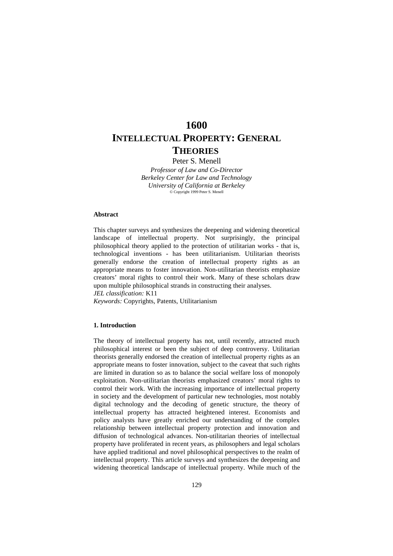## **1600**

# **INTELLECTUAL PROPERTY: GENERAL THEORIES**

Peter S. Menell *Professor of Law and Co-Director Berkeley Center for Law and Technology University of California at Berkeley* © Copyright 1999 Peter S. Menell

#### **Abstract**

This chapter surveys and synthesizes the deepening and widening theoretical landscape of intellectual property. Not surprisingly, the principal philosophical theory applied to the protection of utilitarian works - that is, technological inventions - has been utilitarianism. Utilitarian theorists generally endorse the creation of intellectual property rights as an appropriate means to foster innovation. Non-utilitarian theorists emphasize creators' moral rights to control their work. Many of these scholars draw upon multiple philosophical strands in constructing their analyses.

*JEL classification:* K11

*Keywords:* Copyrights, Patents, Utilitarianism

### **1. Introduction**

The theory of intellectual property has not, until recently, attracted much philosophical interest or been the subject of deep controversy. Utilitarian theorists generally endorsed the creation of intellectual property rights as an appropriate means to foster innovation, subject to the caveat that such rights are limited in duration so as to balance the social welfare loss of monopoly exploitation. Non-utilitarian theorists emphasized creators' moral rights to control their work. With the increasing importance of intellectual property in society and the development of particular new technologies, most notably digital technology and the decoding of genetic structure, the theory of intellectual property has attracted heightened interest. Economists and policy analysts have greatly enriched our understanding of the complex relationship between intellectual property protection and innovation and diffusion of technological advances. Non-utilitarian theories of intellectual property have proliferated in recent years, as philosophers and legal scholars have applied traditional and novel philosophical perspectives to the realm of intellectual property. This article surveys and synthesizes the deepening and widening theoretical landscape of intellectual property. While much of the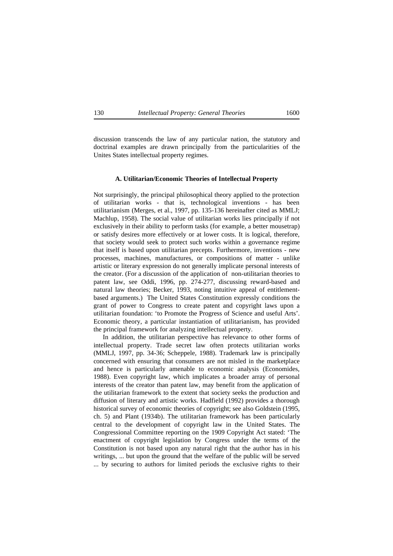discussion transcends the law of any particular nation, the statutory and doctrinal examples are drawn principally from the particularities of the Unites States intellectual property regimes.

#### **A. Utilitarian/Economic Theories of Intellectual Property**

Not surprisingly, the principal philosophical theory applied to the protection of utilitarian works - that is, technological inventions - has been utilitarianism (Merges, et al., 1997, pp. 135-136 hereinafter cited as MMLJ; Machlup, 1958). The social value of utilitarian works lies principally if not exclusively in their ability to perform tasks (for example, a better mousetrap) or satisfy desires more effectively or at lower costs. It is logical, therefore, that society would seek to protect such works within a governance regime that itself is based upon utilitarian precepts. Furthermore, inventions - new processes, machines, manufactures, or compositions of matter - unlike artistic or literary expression do not generally implicate personal interests of the creator. (For a discussion of the application of non-utilitarian theories to patent law, see Oddi, 1996, pp. 274-277, discussing reward-based and natural law theories; Becker, 1993, noting intuitive appeal of entitlementbased arguments.) The United States Constitution expressly conditions the grant of power to Congress to create patent and copyright laws upon a utilitarian foundation: 'to Promote the Progress of Science and useful Arts'. Economic theory, a particular instantiation of utilitarianism, has provided the principal framework for analyzing intellectual property.

In addition, the utilitarian perspective has relevance to other forms of intellectual property. Trade secret law often protects utilitarian works (MMLJ, 1997, pp. 34-36; Scheppele, 1988). Trademark law is principally concerned with ensuring that consumers are not misled in the marketplace and hence is particularly amenable to economic analysis (Economides, 1988). Even copyright law, which implicates a broader array of personal interests of the creator than patent law, may benefit from the application of the utilitarian framework to the extent that society seeks the production and diffusion of literary and artistic works. Hadfield (1992) provides a thorough historical survey of economic theories of copyright; see also Goldstein (1995, ch. 5) and Plant (1934b). The utilitarian framework has been particularly central to the development of copyright law in the United States. The Congressional Committee reporting on the 1909 Copyright Act stated: 'The enactment of copyright legislation by Congress under the terms of the Constitution is not based upon any natural right that the author has in his writings, ... but upon the ground that the welfare of the public will be served ... by securing to authors for limited periods the exclusive rights to their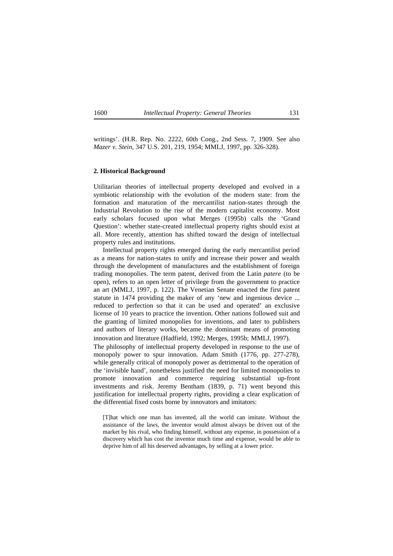writings'. (H.R. Rep. No. 2222, 60th Cong., 2nd Sess. 7, 1909. See also *Mazer v. Stein*, 347 U.S. 201, 219, 1954; MMLJ, 1997, pp. 326-328).

#### **2. Historical Background**

Utilitarian theories of intellectual property developed and evolved in a symbiotic relationship with the evolution of the modern state: from the formation and maturation of the mercantilist nation-states through the Industrial Revolution to the rise of the modern capitalist economy. Most early scholars focused upon what Merges (1995b) calls the 'Grand Question': whether state-created intellectual property rights should exist at all. More recently, attention has shifted toward the design of intellectual property rules and institutions.

Intellectual property rights emerged during the early mercantilist period as a means for nation-states to unify and increase their power and wealth through the development of manufactures and the establishment of foreign trading monopolies. The term patent, derived from the Latin *patere* (to be open), refers to an open letter of privilege from the government to practice an art (MMLJ, 1997, p. 122). The Venetian Senate enacted the first patent statute in 1474 providing the maker of any 'new and ingenious device ... reduced to perfection so that it can be used and operated' an exclusive license of 10 years to practice the invention. Other nations followed suit and the granting of limited monopolies for inventions, and later to publishers and authors of literary works, became the dominant means of promoting innovation and literature (Hadfield, 1992; Merges, 1995b; MMLJ, 1997). The philosophy of intellectual property developed in response to the use of

monopoly power to spur innovation. Adam Smith (1776, pp. 277-278), while generally critical of monopoly power as detrimental to the operation of the 'invisible hand', nonetheless justified the need for limited monopolies to promote innovation and commerce requiring substantial up-front investments and risk. Jeremy Bentham (1839, p. 71) went beyond this justification for intellectual property rights, providing a clear explication of the differential fixed costs borne by innovators and imitators:

[T]hat which one man has invented, all the world can imitate. Without the assistance of the laws, the inventor would almost always be driven out of the market by his rival, who finding himself, without any expense, in possession of a discovery which has cost the inventor much time and expense, would be able to deprive him of all his deserved advantages, by selling at a lower price.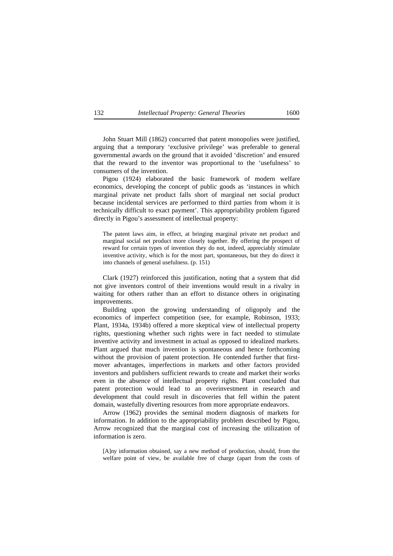John Stuart Mill (1862) concurred that patent monopolies were justified, arguing that a temporary 'exclusive privilege' was preferable to general governmental awards on the ground that it avoided 'discretion' and ensured that the reward to the inventor was proportional to the 'usefulness' to consumers of the invention.

Pigou (1924) elaborated the basic framework of modern welfare economics, developing the concept of public goods as 'instances in which marginal private net product falls short of marginal net social product because incidental services are performed to third parties from whom it is technically difficult to exact payment'. This appropriability problem figured directly in Pigou's assessment of intellectual property:

The patent laws aim, in effect, at bringing marginal private net product and marginal social net product more closely together. By offering the prospect of reward for certain types of invention they do not, indeed, appreciably stimulate inventive activity, which is for the most part, spontaneous, but they do direct it into channels of general usefulness. (p. 151)

Clark (1927) reinforced this justification, noting that a system that did not give inventors control of their inventions would result in a rivalry in waiting for others rather than an effort to distance others in originating improvements.

Building upon the growing understanding of oligopoly and the economics of imperfect competition (see, for example, Robinson, 1933; Plant, 1934a, 1934b) offered a more skeptical view of intellectual property rights, questioning whether such rights were in fact needed to stimulate inventive activity and investment in actual as opposed to idealized markets. Plant argued that much invention is spontaneous and hence forthcoming without the provision of patent protection. He contended further that firstmover advantages, imperfections in markets and other factors provided inventors and publishers sufficient rewards to create and market their works even in the absence of intellectual property rights. Plant concluded that patent protection would lead to an overinvestment in research and development that could result in discoveries that fell within the patent domain, wastefully diverting resources from more appropriate endeavors.

Arrow (1962) provides the seminal modern diagnosis of markets for information. In addition to the appropriability problem described by Pigou, Arrow recognized that the marginal cost of increasing the utilization of information is zero.

[A]ny information obtained, say a new method of production, should, from the welfare point of view, be available free of charge (apart from the costs of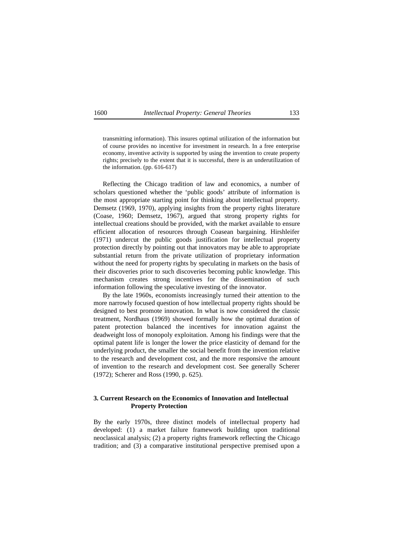transmitting information). This insures optimal utilization of the information but of course provides no incentive for investment in research. In a free enterprise economy, inventive activity is supported by using the invention to create property rights; precisely to the extent that it is successful, there is an underutilization of the information. (pp. 616-617)

Reflecting the Chicago tradition of law and economics, a number of scholars questioned whether the 'public goods' attribute of information is the most appropriate starting point for thinking about intellectual property. Demsetz (1969, 1970), applying insights from the property rights literature (Coase, 1960; Demsetz, 1967), argued that strong property rights for intellectual creations should be provided, with the market available to ensure efficient allocation of resources through Coasean bargaining. Hirshleifer (1971) undercut the public goods justification for intellectual property protection directly by pointing out that innovators may be able to appropriate substantial return from the private utilization of proprietary information without the need for property rights by speculating in markets on the basis of their discoveries prior to such discoveries becoming public knowledge. This mechanism creates strong incentives for the dissemination of such information following the speculative investing of the innovator.

By the late 1960s, economists increasingly turned their attention to the more narrowly focused question of how intellectual property rights should be designed to best promote innovation. In what is now considered the classic treatment, Nordhaus (1969) showed formally how the optimal duration of patent protection balanced the incentives for innovation against the deadweight loss of monopoly exploitation. Among his findings were that the optimal patent life is longer the lower the price elasticity of demand for the underlying product, the smaller the social benefit from the invention relative to the research and development cost, and the more responsive the amount of invention to the research and development cost. See generally Scherer (1972); Scherer and Ross (1990, p. 625).

#### **3. Current Research on the Economics of Innovation and Intellectual Property Protection**

By the early 1970s, three distinct models of intellectual property had developed: (1) a market failure framework building upon traditional neoclassical analysis; (2) a property rights framework reflecting the Chicago tradition; and (3) a comparative institutional perspective premised upon a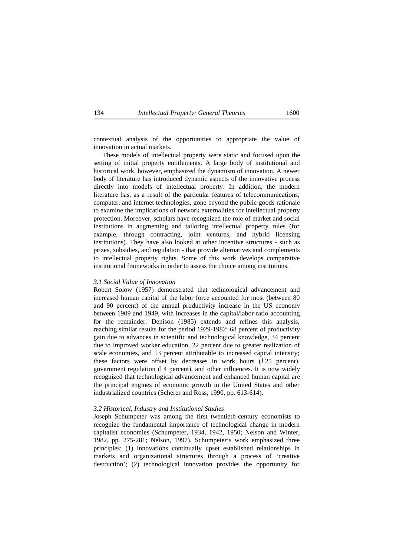contextual analysis of the opportunities to appropriate the value of innovation in actual markets.

These models of intellectual property were static and focused upon the setting of initial property entitlements. A large body of institutional and historical work, however, emphasized the dynamism of innovation. A newer body of literature has introduced dynamic aspects of the innovative process directly into models of intellectual property. In addition, the modern literature has, as a result of the particular features of telecommunications, computer, and internet technologies, gone beyond the public goods rationale to examine the implications of network externalities for intellectual property protection. Moreover, scholars have recognized the role of market and social institutions in augmenting and tailoring intellectual property rules (for example, through contracting, joint ventures, and hybrid licensing institutions). They have also looked at other incentive structures - such as prizes, subsidies, and regulation - that provide alternatives and complements to intellectual property rights. Some of this work develops comparative institutional frameworks in order to assess the choice among institutions.

#### *3.1 Social Value of Innovation*

Robert Solow (1957) demonstrated that technological advancement and increased human capital of the labor force accounted for most (between 80 and 90 percent) of the annual productivity increase in the US economy between 1909 and 1949, with increases in the capital/labor ratio accounting for the remainder. Denison (1985) extends and refines this analysis, reaching similar results for the period 1929-1982: 68 percent of productivity gain due to advances in scientific and technological knowledge, 34 percent due to improved worker education, 22 percent due to greater realization of scale economies, and 13 percent attributable to increased capital intensity; these factors were offset by decreases in work hours (!25 percent), government regulation (!4 percent), and other influences. It is now widely recognized that technological advancement and enhanced human capital are the principal engines of economic growth in the United States and other industrialized countries (Scherer and Ross, 1990, pp. 613-614).

#### *3.2 Historical, Industry and Institutional Studies*

Joseph Schumpeter was among the first twentieth-century economists to recognize the fundamental importance of technological change in modern capitalist economies (Schumpeter, 1934, 1942, 1950; Nelson and Winter, 1982, pp. 275-281; Nelson, 1997). Schumpeter's work emphasized three principles: (1) innovations continually upset established relationships in markets and organizational structures through a process of 'creative destruction'; (2) technological innovation provides the opportunity for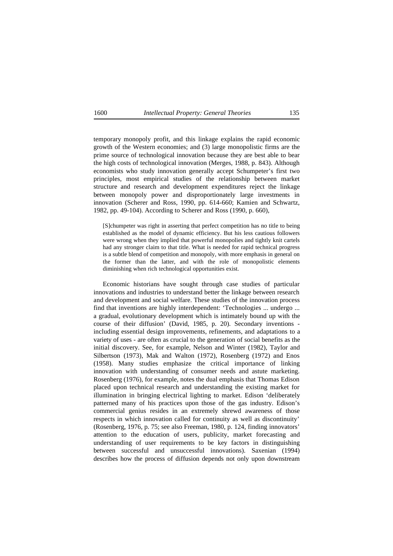temporary monopoly profit, and this linkage explains the rapid economic growth of the Western economies; and (3) large monopolistic firms are the prime source of technological innovation because they are best able to bear the high costs of technological innovation (Merges, 1988, p. 843). Although economists who study innovation generally accept Schumpeter's first two principles, most empirical studies of the relationship between market structure and research and development expenditures reject the linkage between monopoly power and disproportionately large investments in innovation (Scherer and Ross, 1990, pp. 614-660; Kamien and Schwartz, 1982, pp. 49-104). According to Scherer and Ross (1990, p. 660),

[S]chumpeter was right in asserting that perfect competition has no title to being established as the model of dynamic efficiency. But his less cautious followers were wrong when they implied that powerful monopolies and tightly knit cartels had any stronger claim to that title. What is needed for rapid technical progress is a subtle blend of competition and monopoly, with more emphasis in general on the former than the latter, and with the role of monopolistic elements diminishing when rich technological opportunities exist.

Economic historians have sought through case studies of particular innovations and industries to understand better the linkage between research and development and social welfare. These studies of the innovation process find that inventions are highly interdependent: 'Technologies ... undergo ... a gradual, evolutionary development which is intimately bound up with the course of their diffusion' (David, 1985, p. 20). Secondary inventions including essential design improvements, refinements, and adaptations to a variety of uses - are often as crucial to the generation of social benefits as the initial discovery. See, for example, Nelson and Winter (1982), Taylor and Silbertson (1973), Mak and Walton (1972), Rosenberg (1972) and Enos (1958). Many studies emphasize the critical importance of linking innovation with understanding of consumer needs and astute marketing. Rosenberg (1976), for example, notes the dual emphasis that Thomas Edison placed upon technical research and understanding the existing market for illumination in bringing electrical lighting to market. Edison 'deliberately patterned many of his practices upon those of the gas industry. Edison's commercial genius resides in an extremely shrewd awareness of those respects in which innovation called for continuity as well as discontinuity' (Rosenberg, 1976, p. 75; see also Freeman, 1980, p. 124, finding innovators' attention to the education of users, publicity, market forecasting and understanding of user requirements to be key factors in distinguishing between successful and unsuccessful innovations). Saxenian (1994) describes how the process of diffusion depends not only upon downstream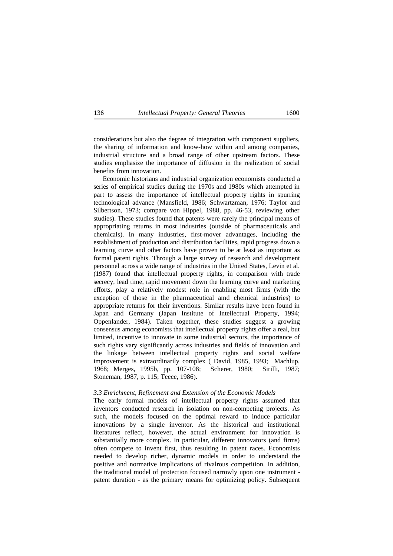considerations but also the degree of integration with component suppliers, the sharing of information and know-how within and among companies, industrial structure and a broad range of other upstream factors. These studies emphasize the importance of diffusion in the realization of social benefits from innovation.

Economic historians and industrial organization economists conducted a series of empirical studies during the 1970s and 1980s which attempted in part to assess the importance of intellectual property rights in spurring technological advance (Mansfield, 1986; Schwartzman, 1976; Taylor and Silbertson, 1973; compare von Hippel, 1988, pp. 46-53, reviewing other studies). These studies found that patents were rarely the principal means of appropriating returns in most industries (outside of pharmaceuticals and chemicals). In many industries, first-mover advantages, including the establishment of production and distribution facilities, rapid progress down a learning curve and other factors have proven to be at least as important as formal patent rights. Through a large survey of research and development personnel across a wide range of industries in the United States, Levin et al. (1987) found that intellectual property rights, in comparison with trade secrecy, lead time, rapid movement down the learning curve and marketing efforts, play a relatively modest role in enabling most firms (with the exception of those in the pharmaceutical amd chemical industries) to appropriate returns for their inventions. Similar results have been found in Japan and Germany (Japan Institute of Intellectual Property, 1994; Oppenlander, 1984). Taken together, these studies suggest a growing consensus among economists that intellectual property rights offer a real, but limited, incentive to innovate in some industrial sectors, the importance of such rights vary significantly across industries and fields of innovation and the linkage between intellectual property rights and social welfare improvement is extraordinarily complex ( David, 1985, 1993; Machlup, 1968; Merges, 1995b, pp. 107-108; Scherer, 1980; Sirilli, 1987; Stoneman, 1987, p. 115; Teece, 1986).

#### *3.3 Enrichment, Refinement and Extension of the Economic Models*

The early formal models of intellectual property rights assumed that inventors conducted research in isolation on non-competing projects. As such, the models focused on the optimal reward to induce particular innovations by a single inventor. As the historical and institutional literatures reflect, however, the actual environment for innovation is substantially more complex. In particular, different innovators (and firms) often compete to invent first, thus resulting in patent races. Economists needed to develop richer, dynamic models in order to understand the positive and normative implications of rivalrous competition. In addition, the traditional model of protection focused narrowly upon one instrument patent duration - as the primary means for optimizing policy. Subsequent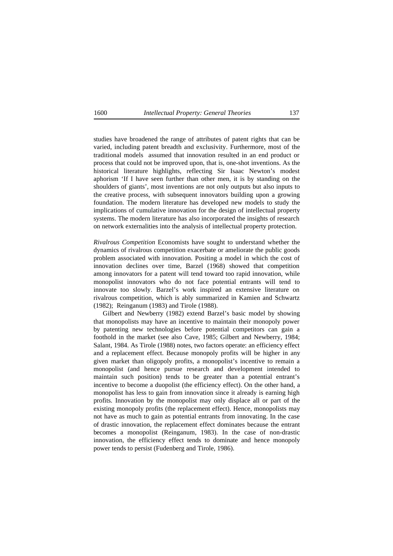studies have broadened the range of attributes of patent rights that can be varied, including patent breadth and exclusivity. Furthermore, most of the traditional models assumed that innovation resulted in an end product or process that could not be improved upon, that is, one-shot inventions. As the historical literature highlights, reflecting Sir Isaac Newton's modest aphorism 'If I have seen further than other men, it is by standing on the shoulders of giants', most inventions are not only outputs but also inputs to the creative process, with subsequent innovators building upon a growing foundation. The modern literature has developed new models to study the implications of cumulative innovation for the design of intellectual property systems. The modern literature has also incorporated the insights of research on network externalities into the analysis of intellectual property protection.

*Rivalrous Competition* Economists have sought to understand whether the dynamics of rivalrous competition exacerbate or ameliorate the public goods problem associated with innovation. Positing a model in which the cost of innovation declines over time, Barzel (1968) showed that competition among innovators for a patent will tend toward too rapid innovation, while monopolist innovators who do not face potential entrants will tend to innovate too slowly. Barzel's work inspired an extensive literature on rivalrous competition, which is ably summarized in Kamien and Schwartz (1982); Reinganum (1983) and Tirole (1988).

Gilbert and Newberry (1982) extend Barzel's basic model by showing that monopolists may have an incentive to maintain their monopoly power by patenting new technologies before potential competitors can gain a foothold in the market (see also Cave, 1985; Gilbert and Newberry, 1984; Salant, 1984. As Tirole (1988) notes, two factors operate: an efficiency effect and a replacement effect. Because monopoly profits will be higher in any given market than oligopoly profits, a monopolist's incentive to remain a monopolist (and hence pursue research and development intended to maintain such position) tends to be greater than a potential entrant's incentive to become a duopolist (the efficiency effect). On the other hand, a monopolist has less to gain from innovation since it already is earning high profits. Innovation by the monopolist may only displace all or part of the existing monopoly profits (the replacement effect). Hence, monopolists may not have as much to gain as potential entrants from innovating. In the case of drastic innovation, the replacement effect dominates because the entrant becomes a monopolist (Reinganum, 1983). In the case of non-drastic innovation, the efficiency effect tends to dominate and hence monopoly power tends to persist (Fudenberg and Tirole, 1986).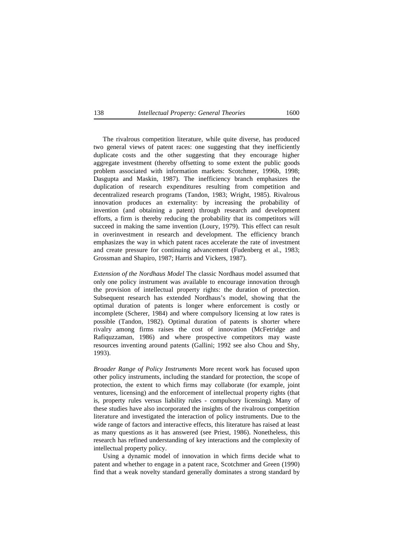The rivalrous competition literature, while quite diverse, has produced two general views of patent races: one suggesting that they inefficiently duplicate costs and the other suggesting that they encourage higher aggregate investment (thereby offsetting to some extent the public goods problem associated with information markets: Scotchmer, 1996b, 1998; Dasgupta and Maskin, 1987). The inefficiency branch emphasizes the duplication of research expenditures resulting from competition and decentralized research programs (Tandon, 1983; Wright, 1985). Rivalrous innovation produces an externality: by increasing the probability of invention (and obtaining a patent) through research and development efforts, a firm is thereby reducing the probability that its competitors will succeed in making the same invention (Loury, 1979). This effect can result in overinvestment in research and development. The efficiency branch emphasizes the way in which patent races accelerate the rate of investment and create pressure for continuing advancement (Fudenberg et al., 1983; Grossman and Shapiro, 1987; Harris and Vickers, 1987).

*Extension of the Nordhaus Model* The classic Nordhaus model assumed that only one policy instrument was available to encourage innovation through the provision of intellectual property rights: the duration of protection. Subsequent research has extended Nordhaus's model, showing that the optimal duration of patents is longer where enforcement is costly or incomplete (Scherer, 1984) and where compulsory licensing at low rates is possible (Tandon, 1982). Optimal duration of patents is shorter where rivalry among firms raises the cost of innovation (McFetridge and Rafiquzzaman, 1986) and where prospective competitors may waste resources inventing around patents (Gallini; 1992 see also Chou and Shy, 1993).

*Broader Range of Policy Instruments* More recent work has focused upon other policy instruments, including the standard for protection, the scope of protection, the extent to which firms may collaborate (for example, joint ventures, licensing) and the enforcement of intellectual property rights (that is, property rules versus liability rules - compulsory licensing). Many of these studies have also incorporated the insights of the rivalrous competition literature and investigated the interaction of policy instruments. Due to the wide range of factors and interactive effects, this literature has raised at least as many questions as it has answered (see Priest, 1986). Nonetheless, this research has refined understanding of key interactions and the complexity of intellectual property policy.

Using a dynamic model of innovation in which firms decide what to patent and whether to engage in a patent race, Scotchmer and Green (1990) find that a weak novelty standard generally dominates a strong standard by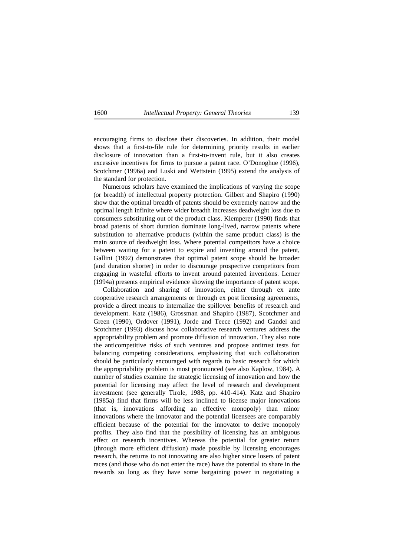encouraging firms to disclose their discoveries. In addition, their model shows that a first-to-file rule for determining priority results in earlier disclosure of innovation than a first-to-invent rule, but it also creates excessive incentives for firms to pursue a patent race. O'Donoghue (1996), Scotchmer (1996a) and Luski and Wettstein (1995) extend the analysis of the standard for protection.

Numerous scholars have examined the implications of varying the scope (or breadth) of intellectual property protection. Gilbert and Shapiro (1990) show that the optimal breadth of patents should be extremely narrow and the optimal length infinite where wider breadth increases deadweight loss due to consumers substituting out of the product class. Klemperer (1990) finds that broad patents of short duration dominate long-lived, narrow patents where substitution to alternative products (within the same product class) is the main source of deadweight loss. Where potential competitors have a choice between waiting for a patent to expire and inventing around the patent, Gallini (1992) demonstrates that optimal patent scope should be broader (and duration shorter) in order to discourage prospective competitors from engaging in wasteful efforts to invent around patented inventions. Lerner (1994a) presents empirical evidence showing the importance of patent scope.

Collaboration and sharing of innovation, either through ex ante cooperative research arrangements or through ex post licensing agreements, provide a direct means to internalize the spillover benefits of research and development. Katz (1986), Grossman and Shapiro (1987), Scotchmer and Green (1990), Ordover (1991), Jorde and Teece (1992) and Gandel and Scotchmer (1993) discuss how collaborative research ventures address the appropriability problem and promote diffusion of innovation. They also note the anticompetitive risks of such ventures and propose antitrust tests for balancing competing considerations, emphasizing that such collaboration should be particularly encouraged with regards to basic research for which the appropriability problem is most pronounced (see also Kaplow, 1984). A number of studies examine the strategic licensing of innovation and how the potential for licensing may affect the level of research and development investment (see generally Tirole, 1988, pp. 410-414). Katz and Shapiro (1985a) find that firms will be less inclined to license major innovations (that is, innovations affording an effective monopoly) than minor innovations where the innovator and the potential licensees are comparably efficient because of the potential for the innovator to derive monopoly profits. They also find that the possibility of licensing has an ambiguous effect on research incentives. Whereas the potential for greater return (through more efficient diffusion) made possible by licensing encourages research, the returns to not innovating are also higher since losers of patent races (and those who do not enter the race) have the potential to share in the rewards so long as they have some bargaining power in negotiating a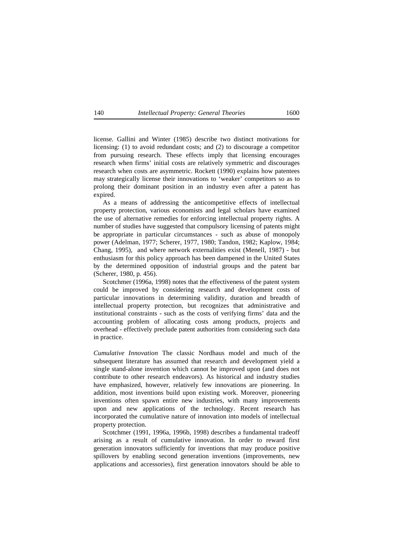license. Gallini and Winter (1985) describe two distinct motivations for licensing: (1) to avoid redundant costs; and (2) to discourage a competitor from pursuing research. These effects imply that licensing encourages research when firms' initial costs are relatively symmetric and discourages research when costs are asymmetric. Rockett (1990) explains how patentees may strategically license their innovations to 'weaker' competitors so as to prolong their dominant position in an industry even after a patent has expired.

As a means of addressing the anticompetitive effects of intellectual property protection, various economists and legal scholars have examined the use of alternative remedies for enforcing intellectual property rights. A number of studies have suggested that compulsory licensing of patents might be appropriate in particular circumstances - such as abuse of monopoly power (Adelman, 1977; Scherer, 1977, 1980; Tandon, 1982; Kaplow, 1984; Chang, 1995), and where network externalities exist (Menell, 1987) - but enthusiasm for this policy approach has been dampened in the United States by the determined opposition of industrial groups and the patent bar (Scherer, 1980, p. 456).

Scotchmer (1996a, 1998) notes that the effectiveness of the patent system could be improved by considering research and development costs of particular innovations in determining validity, duration and breadth of intellectual property protection, but recognizes that administrative and institutional constraints - such as the costs of verifying firms' data and the accounting problem of allocating costs among products, projects and overhead - effectively preclude patent authorities from considering such data in practice.

*Cumulative Innovation* The classic Nordhaus model and much of the subsequent literature has assumed that research and development yield a single stand-alone invention which cannot be improved upon (and does not contribute to other research endeavors). As historical and industry studies have emphasized, however, relatively few innovations are pioneering. In addition, most inventions build upon existing work. Moreover, pioneering inventions often spawn entire new industries, with many improvements upon and new applications of the technology. Recent research has incorporated the cumulative nature of innovation into models of intellectual property protection.

Scotchmer (1991, 1996a, 1996b, 1998) describes a fundamental tradeoff arising as a result of cumulative innovation. In order to reward first generation innovators sufficiently for inventions that may produce positive spillovers by enabling second generation inventions (improvements, new applications and accessories), first generation innovators should be able to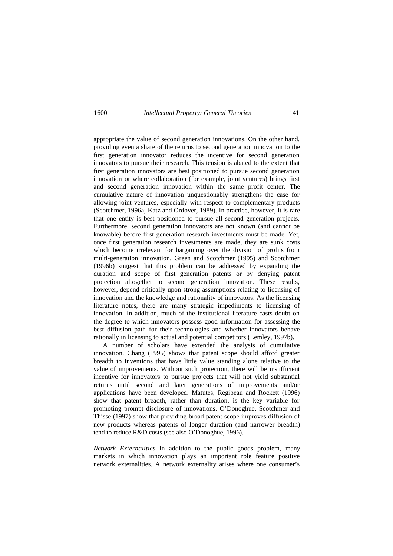appropriate the value of second generation innovations. On the other hand, providing even a share of the returns to second generation innovation to the first generation innovator reduces the incentive for second generation innovators to pursue their research. This tension is abated to the extent that first generation innovators are best positioned to pursue second generation innovation or where collaboration (for example, joint ventures) brings first and second generation innovation within the same profit center. The cumulative nature of innovation unquestionably strengthens the case for allowing joint ventures, especially with respect to complementary products (Scotchmer, 1996a; Katz and Ordover, 1989). In practice, however, it is rare that one entity is best positioned to pursue all second generation projects. Furthermore, second generation innovators are not known (and cannot be knowable) before first generation research investments must be made. Yet, once first generation research investments are made, they are sunk costs which become irrelevant for bargaining over the division of profits from multi-generation innovation. Green and Scotchmer (1995) and Scotchmer (1996b) suggest that this problem can be addressed by expanding the duration and scope of first generation patents or by denying patent protection altogether to second generation innovation. These results, however, depend critically upon strong assumptions relating to licensing of innovation and the knowledge and rationality of innovators. As the licensing literature notes, there are many strategic impediments to licensing of innovation. In addition, much of the institutional literature casts doubt on the degree to which innovators possess good information for assessing the best diffusion path for their technologies and whether innovators behave rationally in licensing to actual and potential competitors (Lemley, 1997b).

A number of scholars have extended the analysis of cumulative innovation. Chang (1995) shows that patent scope should afford greater breadth to inventions that have little value standing alone relative to the value of improvements. Without such protection, there will be insufficient incentive for innovators to pursue projects that will not yield substantial returns until second and later generations of improvements and/or applications have been developed. Matutes, Regibeau and Rockett (1996) show that patent breadth, rather than duration, is the key variable for promoting prompt disclosure of innovations. O'Donoghue, Scotchmer and Thisse (1997) show that providing broad patent scope improves diffusion of new products whereas patents of longer duration (and narrower breadth) tend to reduce R&D costs (see also O'Donoghue, 1996).

*Network Externalities* In addition to the public goods problem, many markets in which innovation plays an important role feature positive network externalities. A network externality arises where one consumer's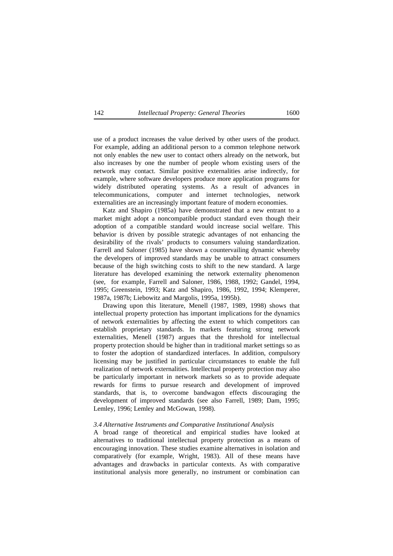use of a product increases the value derived by other users of the product. For example, adding an additional person to a common telephone network not only enables the new user to contact others already on the network, but also increases by one the number of people whom existing users of the network may contact. Similar positive externalities arise indirectly, for example, where software developers produce more application programs for widely distributed operating systems. As a result of advances in telecommunications, computer and internet technologies, network externalities are an increasingly important feature of modern economies.

Katz and Shapiro (1985a) have demonstrated that a new entrant to a market might adopt a noncompatible product standard even though their adoption of a compatible standard would increase social welfare. This behavior is driven by possible strategic advantages of not enhancing the desirability of the rivals' products to consumers valuing standardization. Farrell and Saloner (1985) have shown a countervailing dynamic whereby the developers of improved standards may be unable to attract consumers because of the high switching costs to shift to the new standard. A large literature has developed examining the network externality phenomenon (see, for example, Farrell and Saloner, 1986, 1988, 1992; Gandel, 1994, 1995; Greenstein, 1993; Katz and Shapiro, 1986, 1992, 1994; Klemperer, 1987a, 1987b; Liebowitz and Margolis, 1995a, 1995b).

Drawing upon this literature, Menell (1987, 1989, 1998) shows that intellectual property protection has important implications for the dynamics of network externalities by affecting the extent to which competitors can establish proprietary standards. In markets featuring strong network externalities, Menell (1987) argues that the threshold for intellectual property protection should be higher than in traditional market settings so as to foster the adoption of standardized interfaces. In addition, compulsory licensing may be justified in particular circumstances to enable the full realization of network externalities. Intellectual property protection may also be particularly important in network markets so as to provide adequate rewards for firms to pursue research and development of improved standards, that is, to overcome bandwagon effects discouraging the development of improved standards (see also Farrell, 1989; Dam, 1995; Lemley, 1996; Lemley and McGowan, 1998).

#### *3.4 Alternative Instruments and Comparative Institutional Analysis*

A broad range of theoretical and empirical studies have looked at alternatives to traditional intellectual property protection as a means of encouraging innovation. These studies examine alternatives in isolation and comparatively (for example, Wright, 1983). All of these means have advantages and drawbacks in particular contexts. As with comparative institutional analysis more generally, no instrument or combination can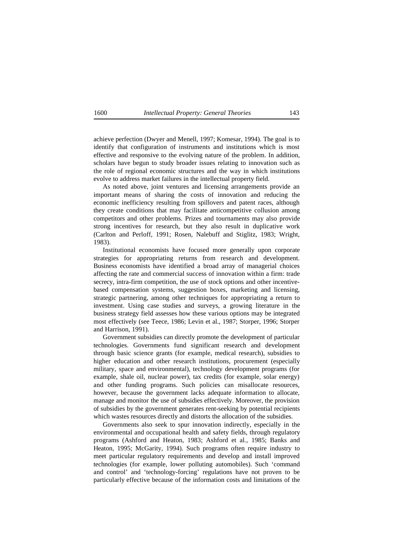achieve perfection (Dwyer and Menell, 1997; Komesar, 1994). The goal is to identify that configuration of instruments and institutions which is most effective and responsive to the evolving nature of the problem. In addition, scholars have begun to study broader issues relating to innovation such as the role of regional economic structures and the way in which institutions evolve to address market failures in the intellectual property field.

As noted above, joint ventures and licensing arrangements provide an important means of sharing the costs of innovation and reducing the economic inefficiency resulting from spillovers and patent races, although they create conditions that may facilitate anticompetitive collusion among competitors and other problems. Prizes and tournaments may also provide strong incentives for research, but they also result in duplicative work (Carlton and Perloff, 1991; Rosen, Nalebuff and Stiglitz, 1983; Wright, 1983).

Institutional economists have focused more generally upon corporate strategies for appropriating returns from research and development. Business economists have identified a broad array of managerial choices affecting the rate and commercial success of innovation within a firm: trade secrecy, intra-firm competition, the use of stock options and other incentivebased compensation systems, suggestion boxes, marketing and licensing, strategic partnering, among other techniques for appropriating a return to investment. Using case studies and surveys, a growing literature in the business strategy field assesses how these various options may be integrated most effectively (see Teece, 1986; Levin et al., 1987; Storper, 1996; Storper and Harrison, 1991).

Government subsidies can directly promote the development of particular technologies. Governments fund significant research and development through basic science grants (for example, medical research), subsidies to higher education and other research institutions, procurement (especially military, space and environmental), technology development programs (for example, shale oil, nuclear power), tax credits (for example, solar energy) and other funding programs. Such policies can misallocate resources, however, because the government lacks adequate information to allocate, manage and monitor the use of subsidies effectively. Moreover, the provision of subsidies by the government generates rent-seeking by potential recipients which wastes resources directly and distorts the allocation of the subsidies.

Governments also seek to spur innovation indirectly, especially in the environmental and occupational health and safety fields, through regulatory programs (Ashford and Heaton, 1983; Ashford et al*.,* 1985; Banks and Heaton, 1995; McGarity, 1994). Such programs often require industry to meet particular regulatory requirements and develop and install improved technologies (for example, lower polluting automobiles). Such 'command and control' and 'technology-forcing' regulations have not proven to be particularly effective because of the information costs and limitations of the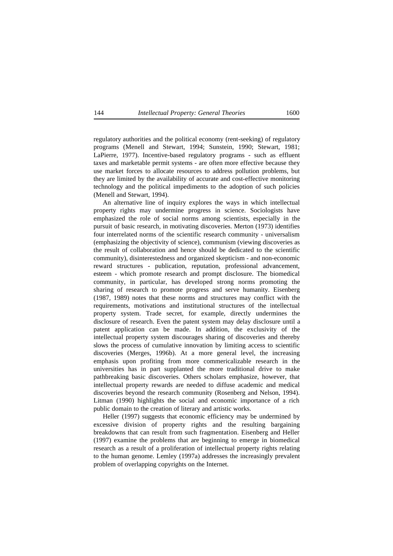regulatory authorities and the political economy (rent-seeking) of regulatory programs (Menell and Stewart, 1994; Sunstein, 1990; Stewart, 1981; LaPierre, 1977). Incentive-based regulatory programs - such as effluent taxes and marketable permit systems - are often more effective because they use market forces to allocate resources to address pollution problems, but they are limited by the availability of accurate and cost-effective monitoring technology and the political impediments to the adoption of such policies (Menell and Stewart, 1994).

An alternative line of inquiry explores the ways in which intellectual property rights may undermine progress in science. Sociologists have emphasized the role of social norms among scientists, especially in the pursuit of basic research, in motivating discoveries. Merton (1973) identifies four interrelated norms of the scientific research community - universalism (emphasizing the objectivity of science), communism (viewing discoveries as the result of collaboration and hence should be dedicated to the scientific community), disinterestedness and organized skepticism - and non-economic reward structures - publication, reputation, professional advancement, esteem - which promote research and prompt disclosure. The biomedical community, in particular, has developed strong norms promoting the sharing of research to promote progress and serve humanity. Eisenberg (1987, 1989) notes that these norms and structures may conflict with the requirements, motivations and institutional structures of the intellectual property system. Trade secret, for example, directly undermines the disclosure of research. Even the patent system may delay disclosure until a patent application can be made. In addition, the exclusivity of the intellectual property system discourages sharing of discoveries and thereby slows the process of cumulative innovation by limiting access to scientific discoveries (Merges, 1996b). At a more general level, the increasing emphasis upon profiting from more commericalizable research in the universities has in part supplanted the more traditional drive to make pathbreaking basic discoveries. Others scholars emphasize, however, that intellectual property rewards are needed to diffuse academic and medical discoveries beyond the research community (Rosenberg and Nelson, 1994). Litman (1990) highlights the social and economic importance of a rich public domain to the creation of literary and artistic works.

Heller (1997) suggests that economic efficiency may be undermined by excessive division of property rights and the resulting bargaining breakdowns that can result from such fragmentation. Eisenberg and Heller (1997) examine the problems that are beginning to emerge in biomedical research as a result of a proliferation of intellectual property rights relating to the human genome. Lemley (1997a) addresses the increasingly prevalent problem of overlapping copyrights on the Internet.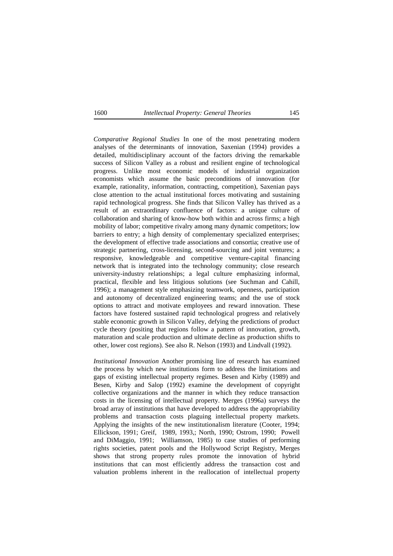*Comparative Regional Studies* In one of the most penetrating modern analyses of the determinants of innovation, Saxenian (1994) provides a detailed, multidisciplinary account of the factors driving the remarkable success of Silicon Valley as a robust and resilient engine of technological progress. Unlike most economic models of industrial organization economists which assume the basic preconditions of innovation (for example, rationality, information, contracting, competition), Saxenian pays close attention to the actual institutional forces motivating and sustaining rapid technological progress. She finds that Silicon Valley has thrived as a result of an extraordinary confluence of factors: a unique culture of collaboration and sharing of know-how both within and across firms; a high mobility of labor; competitive rivalry among many dynamic competitors; low barriers to entry; a high density of complementary specialized enterprises; the development of effective trade associations and consortia; creative use of strategic partnering, cross-licensing, second-sourcing and joint ventures; a responsive, knowledgeable and competitive venture-capital financing network that is integrated into the technology community; close research university-industry relationships; a legal culture emphasizing informal, practical, flexible and less litigious solutions (see Suchman and Cahill, 1996); a management style emphasizing teamwork, openness, participation and autonomy of decentralized engineering teams; and the use of stock options to attract and motivate employees and reward innovation. These factors have fostered sustained rapid technological progress and relatively stable economic growth in Silicon Valley, defying the predictions of product cycle theory (positing that regions follow a pattern of innovation, growth, maturation and scale production and ultimate decline as production shifts to other, lower cost regions). See also R. Nelson (1993) and Lindvall (1992).

*Institutional Innovation* Another promising line of research has examined the process by which new institutions form to address the limitations and gaps of existing intellectual property regimes. Besen and Kirby (1989) and Besen, Kirby and Salop (1992) examine the development of copyright collective organizations and the manner in which they reduce transaction costs in the licensing of intellectual property. Merges (1996a) surveys the broad array of institutions that have developed to address the appropriability problems and transaction costs plaguing intellectual property markets. Applying the insights of the new institutionalism literature (Cooter, 1994; Ellickson, 1991; Greif, 1989, 1993,; North, 1990; Ostrom, 1990; Powell and DiMaggio, 1991; Williamson, 1985) to case studies of performing rights societies, patent pools and the Hollywood Script Registry, Merges shows that strong property rules promote the innovation of hybrid institutions that can most efficiently address the transaction cost and valuation problems inherent in the reallocation of intellectual property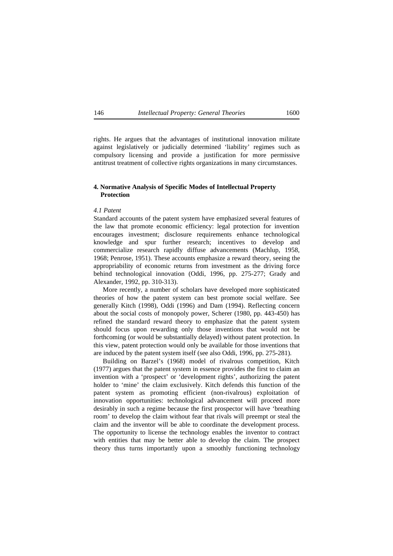rights. He argues that the advantages of institutional innovation militate against legislatively or judicially determined 'liability' regimes such as compulsory licensing and provide a justification for more permissive antitrust treatment of collective rights organizations in many circumstances.

### **4. Normative Analysis of Specific Modes of Intellectual Property Protection**

#### *4.1 Patent*

Standard accounts of the patent system have emphasized several features of the law that promote economic efficiency: legal protection for invention encourages investment; disclosure requirements enhance technological knowledge and spur further research; incentives to develop and commercialize research rapidly diffuse advancements (Machlup, 1958, 1968; Penrose, 1951). These accounts emphasize a reward theory, seeing the appropriability of economic returns from investment as the driving force behind technological innovation (Oddi, 1996, pp. 275-277; Grady and Alexander, 1992, pp. 310-313).

More recently, a number of scholars have developed more sophisticated theories of how the patent system can best promote social welfare. See generally Kitch (1998), Oddi (1996) and Dam (1994). Reflecting concern about the social costs of monopoly power, Scherer (1980, pp. 443-450) has refined the standard reward theory to emphasize that the patent system should focus upon rewarding only those inventions that would not be forthcoming (or would be substantially delayed) without patent protection. In this view, patent protection would only be available for those inventions that are induced by the patent system itself (see also Oddi, 1996, pp. 275-281).

Building on Barzel's (1968) model of rivalrous competition, Kitch (1977) argues that the patent system in essence provides the first to claim an invention with a 'prospect' or 'development rights', authorizing the patent holder to 'mine' the claim exclusively. Kitch defends this function of the patent system as promoting efficient (non-rivalrous) exploitation of innovation opportunities: technological advancement will proceed more desirably in such a regime because the first prospector will have 'breathing room' to develop the claim without fear that rivals will preempt or steal the claim and the inventor will be able to coordinate the development process. The opportunity to license the technology enables the inventor to contract with entities that may be better able to develop the claim. The prospect theory thus turns importantly upon a smoothly functioning technology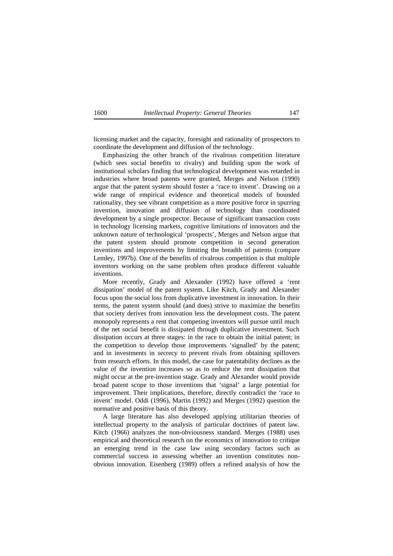licensing market and the capacity, foresight and rationality of prospectors to coordinate the development and diffusion of the technology.

Emphasizing the other branch of the rivalrous competition literature (which sees social benefits to rivalry) and building upon the work of institutional scholars finding that technological development was retarded in industries where broad patents were granted, Merges and Nelson (1990) argue that the patent system should foster a 'race to invent'. Drawing on a wide range of empirical evidence and theoretical models of bounded rationality, they see vibrant competition as a more positive force in spurring invention, innovation and diffusion of technology than coordinated development by a single prospector. Because of significant transaction costs in technology licensing markets, cognitive limitations of innovators and the unknown nature of technological 'prospects', Merges and Nelson argue that the patent system should promote competition in second generation inventions and improvements by limiting the breadth of patents (compare Lemley, 1997b). One of the benefits of rivalrous competition is that multiple inventors working on the same problem often produce different valuable inventions.

More recently, Grady and Alexander (1992) have offered a 'rent dissipation' model of the patent system. Like Kitch, Grady and Alexander focus upon the social loss from duplicative investment in innovation. In their terms, the patent system should (and does) strive to maximize the benefits that society derives from innovation less the development costs. The patent monopoly represents a rent that competing inventors will pursue until much of the net social benefit is dissipated through duplicative investment. Such dissipation occurs at three stages: in the race to obtain the initial patent; in the competition to develop those improvements 'signalled' by the patent; and in investments in secrecy to prevent rivals from obtaining spillovers from research efforts. In this model, the case for patentability declines as the value of the invention increases so as to reduce the rent dissipation that might occur at the pre-invention stage. Grady and Alexander would provide broad patent scope to those inventions that 'signal' a large potential for improvement. Their implications, therefore, directly contradict the 'race to invent' model. Oddi (1996), Martin (1992) and Merges (1992) question the normative and positive basis of this theory.

A large literature has also developed applying utilitarian theories of intellectual property to the analysis of particular doctrines of patent law. Kitch (1966) analyzes the non-obviousness standard. Merges (1988) uses empirical and theoretical research on the economics of innovation to critique an emerging trend in the case law using secondary factors such as commercial success in assessing whether an invention constitutes nonobvious innovation. Eisenberg (1989) offers a refined analysis of how the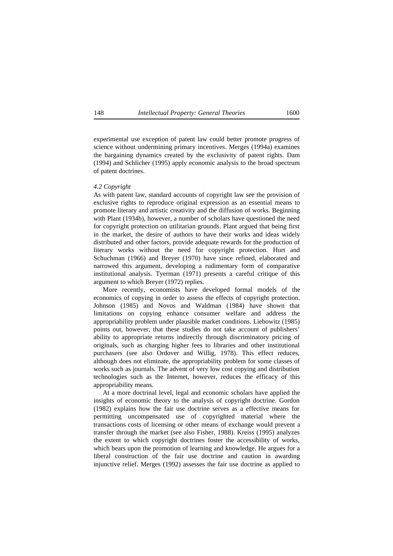experimental use exception of patent law could better promote progress of science without undermining primary incentives. Merges (1994a) examines the bargaining dynamics created by the exclusivity of patent rights. Dam (1994) and Schlicher (1995) apply economic analysis to the broad spectrum of patent doctrines.

#### *4.2 Copyright*

As with patent law, standard accounts of copyright law see the provision of exclusive rights to reproduce original expression as an essential means to promote literary and artistic creativity and the diffusion of works. Beginning with Plant (1934b), however, a number of scholars have questioned the need for copyright protection on utilitarian grounds. Plant argued that being first in the market, the desire of authors to have their works and ideas widely distributed and other factors, provide adequate rewards for the production of literary works without the need for copyright protection. Hurt and Schuchman (1966) and Breyer (1970) have since refined, elaborated and narrowed this argument, developing a rudimentary form of comparative institutional analysis. Tyerman (1971) presents a careful critique of this argument to which Breyer (1972) replies.

More recently, economists have developed formal models of the economics of copying in order to assess the effects of copyright protection. Johnson (1985) and Novos and Waldman (1984) have shown that limitations on copying enhance consumer welfare and address the appropriability problem under plausible market conditions. Liebowitz (1985) points out, however, that these studies do not take account of publishers' ability to appropriate returns indirectly through discriminatory pricing of originals, such as charging higher fees to libraries and other institutional purchasers (see also Ordover and Willig, 1978). This effect reduces, although does not eliminate, the appropriability problem for some classes of works such as journals. The advent of very low cost copying and distribution technologies such as the Internet, however, reduces the efficacy of this appropriability means.

At a more doctrinal level, legal and economic scholars have applied the insights of economic theory to the analysis of copyright doctrine. Gordon (1982) explains how the fair use doctrine serves as a effective means for permitting uncompensated use of copyrighted material where the transactions costs of licensing or other means of exchange would prevent a transfer through the market (see also Fisher, 1988). Kreiss (1995) analyzes the extent to which copyright doctrines foster the accessibility of works, which bears upon the promotion of learning and knowledge. He argues for a liberal construction of the fair use doctrine and caution in awarding injunctive relief. Merges (1992) assesses the fair use doctrine as applied to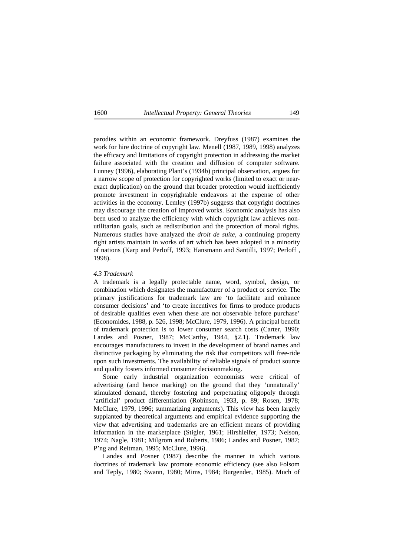parodies within an economic framework. Dreyfuss (1987) examines the work for hire doctrine of copyright law. Menell (1987, 1989, 1998) analyzes the efficacy and limitations of copyright protection in addressing the market failure associated with the creation and diffusion of computer software. Lunney (1996), elaborating Plant's (1934b) principal observation, argues for a narrow scope of protection for copyrighted works (limited to exact or nearexact duplication) on the ground that broader protection would inefficiently promote investment in copyrightable endeavors at the expense of other activities in the economy. Lemley (1997b) suggests that copyright doctrines may discourage the creation of improved works. Economic analysis has also been used to analyze the efficiency with which copyright law achieves nonutilitarian goals, such as redistribution and the protection of moral rights. Numerous studies have analyzed the *droit de suite*, a continuing property right artists maintain in works of art which has been adopted in a minority of nations (Karp and Perloff, 1993; Hansmann and Santilli, 1997; Perloff , 1998).

#### *4.3 Trademark*

A trademark is a legally protectable name, word, symbol, design, or combination which designates the manufacturer of a product or service. The primary justifications for trademark law are 'to facilitate and enhance consumer decisions' and 'to create incentives for firms to produce products of desirable qualities even when these are not observable before purchase' (Economides, 1988, p. 526, 1998; McClure, 1979, 1996). A principal benefit of trademark protection is to lower consumer search costs (Carter, 1990; Landes and Posner, 1987; McCarthy, 1944, §2.1). Trademark law encourages manufacturers to invest in the development of brand names and distinctive packaging by eliminating the risk that competitors will free-ride upon such investments. The availability of reliable signals of product source and quality fosters informed consumer decisionmaking.

Some early industrial organization economists were critical of advertising (and hence marking) on the ground that they 'unnaturally' stimulated demand, thereby fostering and perpetuating oligopoly through 'artificial' product differentiation (Robinson, 1933, p. 89; Rosen, 1978; McClure, 1979, 1996; summarizing arguments). This view has been largely supplanted by theoretical arguments and empirical evidence supporting the view that advertising and trademarks are an efficient means of providing information in the marketplace (Stigler, 1961; Hirshleifer, 1973; Nelson, 1974; Nagle, 1981; Milgrom and Roberts, 1986; Landes and Posner, 1987; P'ng and Reitman, 1995; McClure, 1996).

Landes and Posner (1987) describe the manner in which various doctrines of trademark law promote economic efficiency (see also Folsom and Teply, 1980; Swann, 1980; Mims, 1984; Burgender, 1985). Much of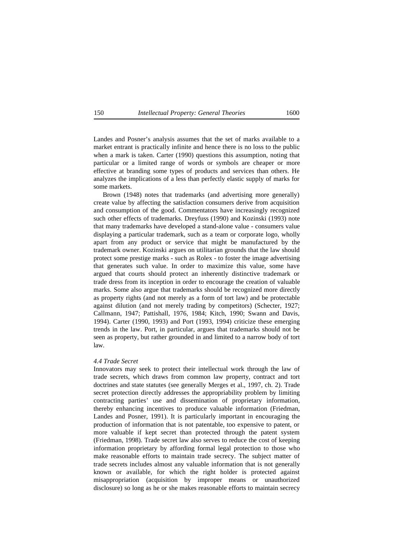Landes and Posner's analysis assumes that the set of marks available to a market entrant is practically infinite and hence there is no loss to the public when a mark is taken. Carter (1990) questions this assumption, noting that particular or a limited range of words or symbols are cheaper or more effective at branding some types of products and services than others. He analyzes the implications of a less than perfectly elastic supply of marks for some markets.

Brown (1948) notes that trademarks (and advertising more generally) create value by affecting the satisfaction consumers derive from acquisition and consumption of the good. Commentators have increasingly recognized such other effects of trademarks. Dreyfuss (1990) and Kozinski (1993) note that many trademarks have developed a stand-alone value - consumers value displaying a particular trademark, such as a team or corporate logo, wholly apart from any product or service that might be manufactured by the trademark owner. Kozinski argues on utilitarian grounds that the law should protect some prestige marks - such as Rolex - to foster the image advertising that generates such value. In order to maximize this value, some have argued that courts should protect an inherently distinctive trademark or trade dress from its inception in order to encourage the creation of valuable marks. Some also argue that trademarks should be recognized more directly as property rights (and not merely as a form of tort law) and be protectable against dilution (and not merely trading by competitors) (Schecter, 1927; Callmann, 1947; Pattishall, 1976, 1984; Kitch, 1990; Swann and Davis, 1994). Carter (1990, 1993) and Port (1993, 1994) criticize these emerging trends in the law. Port, in particular, argues that trademarks should not be seen as property, but rather grounded in and limited to a narrow body of tort law.

#### *4.4 Trade Secret*

Innovators may seek to protect their intellectual work through the law of trade secrets, which draws from common law property, contract and tort doctrines and state statutes (see generally Merges et al., 1997, ch. 2). Trade secret protection directly addresses the appropriability problem by limiting contracting parties' use and dissemination of proprietary information, thereby enhancing incentives to produce valuable information (Friedman, Landes and Posner, 1991). It is particularly important in encouraging the production of information that is not patentable, too expensive to patent, or more valuable if kept secret than protected through the patent system (Friedman, 1998). Trade secret law also serves to reduce the cost of keeping information proprietary by affording formal legal protection to those who make reasonable efforts to maintain trade secrecy. The subject matter of trade secrets includes almost any valuable information that is not generally known or available, for which the right holder is protected against misappropriation (acquisition by improper means or unauthorized disclosure) so long as he or she makes reasonable efforts to maintain secrecy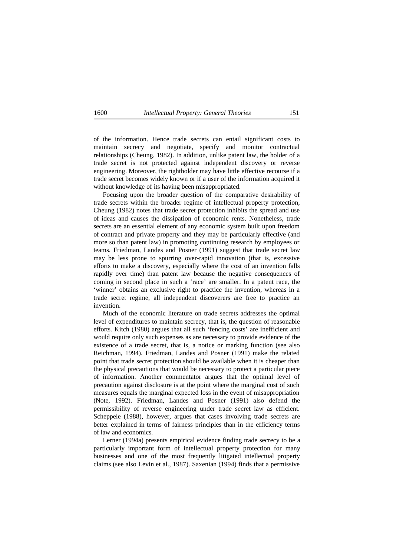of the information. Hence trade secrets can entail significant costs to maintain secrecy and negotiate, specify and monitor contractual relationships (Cheung, 1982). In addition, unlike patent law, the holder of a trade secret is not protected against independent discovery or reverse engineering. Moreover, the rightholder may have little effective recourse if a trade secret becomes widely known or if a user of the information acquired it without knowledge of its having been misappropriated.

Focusing upon the broader question of the comparative desirability of trade secrets within the broader regime of intellectual property protection, Cheung (1982) notes that trade secret protection inhibits the spread and use of ideas and causes the dissipation of economic rents. Nonetheless, trade secrets are an essential element of any economic system built upon freedom of contract and private property and they may be particularly effective (and more so than patent law) in promoting continuing research by employees or teams. Friedman, Landes and Posner (1991) suggest that trade secret law may be less prone to spurring over-rapid innovation (that is, excessive efforts to make a discovery, especially where the cost of an invention falls rapidly over time) than patent law because the negative consequences of coming in second place in such a 'race' are smaller. In a patent race, the 'winner' obtains an exclusive right to practice the invention, whereas in a trade secret regime, all independent discoverers are free to practice an invention.

Much of the economic literature on trade secrets addresses the optimal level of expenditures to maintain secrecy, that is, the question of reasonable efforts. Kitch (1980) argues that all such 'fencing costs' are inefficient and would require only such expenses as are necessary to provide evidence of the existence of a trade secret, that is, a notice or marking function (see also Reichman, 1994). Friedman, Landes and Posner (1991) make the related point that trade secret protection should be available when it is cheaper than the physical precautions that would be necessary to protect a particular piece of information. Another commentator argues that the optimal level of precaution against disclosure is at the point where the marginal cost of such measures equals the marginal expected loss in the event of misappropriation (Note, 1992). Friedman, Landes and Posner (1991) also defend the permissibility of reverse engineering under trade secret law as efficient. Scheppele (1988), however, argues that cases involving trade secrets are better explained in terms of fairness principles than in the efficiency terms of law and economics.

Lerner (1994a) presents empirical evidence finding trade secrecy to be a particularly important form of intellectual property protection for many businesses and one of the most frequently litigated intellectual property claims (see also Levin et al., 1987). Saxenian (1994) finds that a permissive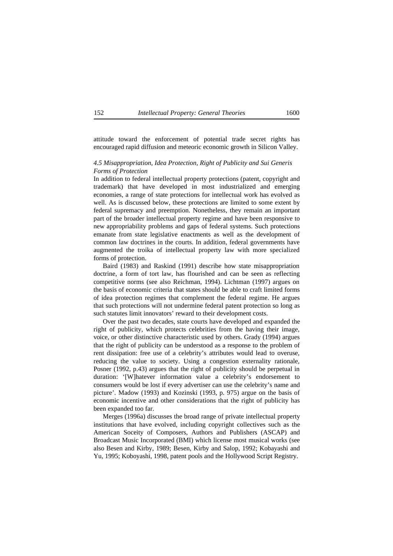attitude toward the enforcement of potential trade secret rights has encouraged rapid diffusion and meteoric economic growth in Silicon Valley.

### *4.5 Misappropriation, Idea Protection, Right of Publicity and Sui Generis Forms of Protection*

In addition to federal intellectual property protections (patent, copyright and trademark) that have developed in most industrialized and emerging economies, a range of state protections for intellectual work has evolved as well. As is discussed below, these protections are limited to some extent by federal supremacy and preemption. Nonetheless, they remain an important part of the broader intellectual property regime and have been responsive to new appropriability problems and gaps of federal systems. Such protections emanate from state legislative enactments as well as the development of common law doctrines in the courts. In addition, federal governments have augmented the troika of intellectual property law with more specialized forms of protection.

Baird (1983) and Raskind (1991) describe how state misappropriation doctrine, a form of tort law, has flourished and can be seen as reflecting competitive norms (see also Reichman, 1994). Lichtman (1997) argues on the basis of economic criteria that states should be able to craft limited forms of idea protection regimes that complement the federal regime. He argues that such protections will not undermine federal patent protection so long as such statutes limit innovators' reward to their development costs.

Over the past two decades, state courts have developed and expanded the right of publicity, which protects celebrities from the having their image, voice, or other distinctive characteristic used by others. Grady (1994) argues that the right of publicity can be understood as a response to the problem of rent dissipation: free use of a celebrity's attributes would lead to overuse, reducing the value to society. Using a congestion externality rationale, Posner (1992, p.43) argues that the right of publicity should be perpetual in duration: '[W]hatever information value a celebrity's endorsement to consumers would be lost if every advertiser can use the celebrity's name and picture'. Madow (1993) and Kozinski (1993, p. 975) argue on the basis of economic incentive and other considerations that the right of publicity has been expanded too far.

Merges (1996a) discusses the broad range of private intellectual property institutions that have evolved, including copyright collectives such as the American Soceity of Composers, Authors and Publishers (ASCAP) and Broadcast Music Incorporated (BMI) which license most musical works (see also Besen and Kirby, 1989; Besen, Kirby and Salop, 1992; Kobayashi and Yu, 1995; Koboyashi, 1998, patent pools and the Hollywood Script Registry.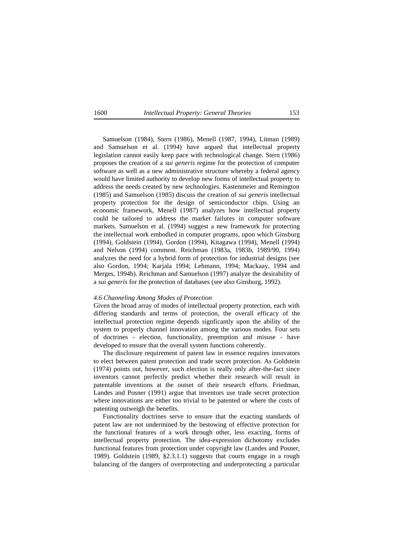Samuelson (1984), Stern (1986), Menell (1987, 1994), Litman (1989) and Samuelson et al. (1994) have argued that intellectual property legislation cannot easily keep pace with technological change. Stern (1986) proposes the creation of a *sui generis* regime for the protection of computer software as well as a new administrative structure whereby a federal agency would have limited authority to develop new forms of intellectual property to address the needs created by new technologies. Kastenmeier and Remington (1985) and Samuelson (1985) discuss the creation of *sui generis* intellectual property protection for the design of semiconductor chips. Using an economic framework, Menell (1987) analyzes how intellectual property could be tailored to address the market failures in computer software markets. Samuelson et al. (1994) suggest a new framework for protecting the intellectual work embodied in computer programs, upon which Ginsburg (1994), Goldstein (1994), Gordon (1994), Kitagawa (1994), Menell (1994) and Nelson (1994) comment. Reichman (1983a, 1983b, 1989/90, 1994) analyzes the need for a hybrid form of protection for industrial designs (see also Gordon, 1994; Karjala 1994; Lehmann, 1994; Mackaay, 1994 and Merges, 1994b). Reichman and Samuelson (1997) analyze the desirability of a *sui generis* for the protection of databases (see also Ginsburg, 1992).

#### *4.6 Channeling Among Modes of Protection*

Given the broad array of modes of intellectual property protection, each with differing standards and terms of protection, the overall efficacy of the intellectual protection regime depends signficantly upon the ability of the system to properly channel innovation among the various modes. Four sets of doctrines - election, functionality, preemption and misuse - have developed to ensure that the overall system functions coherently.

The disclosure requirement of patent law in essence requires innovators to elect between patent protection and trade secret protection. As Goldstein (1974) points out, however, such election is really only after-the-fact since inventors cannot perfectly predict whether their research will result in patentable inventions at the outset of their research efforts. Friedman, Landes and Posner (1991) argue that inventors use trade secret protection where innovations are either too trivial to be patented or where the costs of patenting outweigh the benefits.

Functionality doctrines serve to ensure that the exacting standards of patent law are not undermined by the bestowing of effective protection for the functional features of a work through other, less exacting, forms of intellectual property protection. The idea-expression dichotomy excludes functional features from protection under copyright law (Landes and Posner, 1989). Goldstein (1989, §2.3.1.1) suggests that courts engage in a rough balancing of the dangers of overprotecting and underprotecting a particular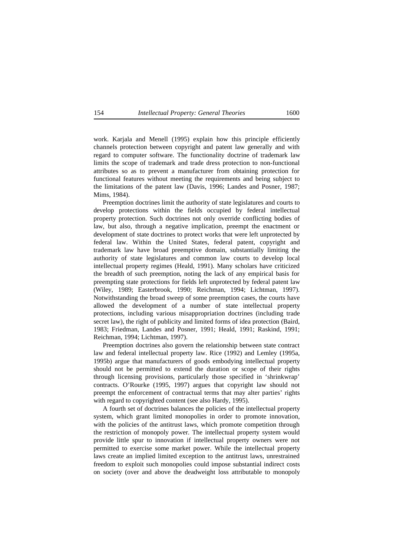work. Karjala and Menell (1995) explain how this principle efficiently channels protection between copyright and patent law generally and with regard to computer software. The functionality doctrine of trademark law limits the scope of trademark and trade dress protection to non-functional attributes so as to prevent a manufacturer from obtaining protection for functional features without meeting the requirements and being subject to the limitations of the patent law (Davis, 1996; Landes and Posner, 1987; Mims, 1984).

Preemption doctrines limit the authority of state legislatures and courts to develop protections within the fields occupied by federal intellectual property protection. Such doctrines not only override conflicting bodies of law, but also, through a negative implication, preempt the enactment or development of state doctrines to protect works that were left unprotected by federal law. Within the United States, federal patent, copyright and trademark law have broad preemptive domain, substantially limiting the authority of state legislatures and common law courts to develop local intellectual property regimes (Heald, 1991). Many scholars have criticized the breadth of such preemption, noting the lack of any empirical basis for preempting state protections for fields left unprotected by federal patent law (Wiley, 1989; Easterbrook, 1990; Reichman, 1994; Lichtman, 1997). Notwithstanding the broad sweep of some preemption cases, the courts have allowed the development of a number of state intellectual property protections, including various misappropriation doctrines (including trade secret law), the right of publicity and limited forms of idea protection (Baird, 1983; Friedman, Landes and Posner, 1991; Heald, 1991; Raskind, 1991; Reichman, 1994; Lichtman, 1997).

Preemption doctrines also govern the relationship between state contract law and federal intellectual property law. Rice (1992) and Lemley (1995a, 1995b) argue that manufacturers of goods embodying intellectual property should not be permitted to extend the duration or scope of their rights through licensing provisions, particularly those specified in 'shrinkwrap' contracts. O'Rourke (1995, 1997) argues that copyright law should not preempt the enforcement of contractual terms that may alter parties' rights with regard to copyrighted content (see also Hardy, 1995).

A fourth set of doctrines balances the policies of the intellectual property system, which grant limited monopolies in order to promote innovation, with the policies of the antitrust laws, which promote competition through the restriction of monopoly power. The intellectual property system would provide little spur to innovation if intellectual property owners were not permitted to exercise some market power. While the intellectual property laws create an implied limited exception to the antitrust laws, unrestrained freedom to exploit such monopolies could impose substantial indirect costs on society (over and above the deadweight loss attributable to monopoly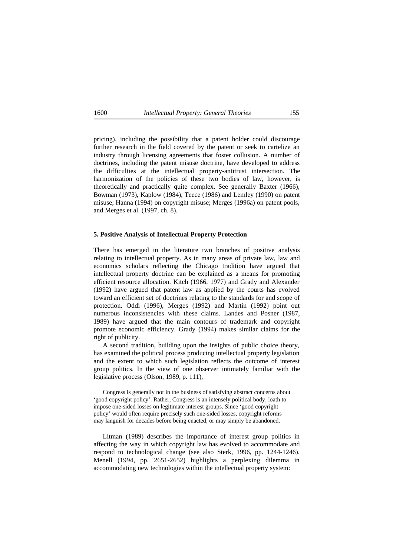pricing), including the possibility that a patent holder could discourage further research in the field covered by the patent or seek to cartelize an industry through licensing agreements that foster collusion. A number of doctrines, including the patent misuse doctrine, have developed to address the difficulties at the intellectual property-antitrust intersection. The harmonization of the policies of these two bodies of law, however, is theoretically and practically quite complex. See generally Baxter (1966), Bowman (1973), Kaplow (1984), Teece (1986) and Lemley (1990) on patent misuse; Hanna (1994) on copyright misuse; Merges (1996a) on patent pools, and Merges et al. (1997, ch. 8).

#### **5. Positive Analysis of Intellectual Property Protection**

There has emerged in the literature two branches of positive analysis relating to intellectual property. As in many areas of private law, law and economics scholars reflecting the Chicago tradition have argued that intellectual property doctrine can be explained as a means for promoting efficient resource allocation. Kitch (1966, 1977) and Grady and Alexander (1992) have argued that patent law as applied by the courts has evolved toward an efficient set of doctrines relating to the standards for and scope of protection. Oddi (1996), Merges (1992) and Martin (1992) point out numerous inconsistencies with these claims. Landes and Posner (1987, 1989) have argued that the main contours of trademark and copyright promote economic efficiency. Grady (1994) makes similar claims for the right of publicity.

A second tradition, building upon the insights of public choice theory, has examined the political process producing intellectual property legislation and the extent to which such legislation reflects the outcome of interest group politics. In the view of one observer intimately familiar with the legislative process (Olson, 1989, p. 111),

Congress is generally not in the business of satisfying abstract concerns about 'good copyright policy'. Rather, Congress is an intensely political body, loath to impose one-sided losses on legitimate interest groups. Since 'good copyright policy' would often require precisely such one-sided losses, copyright reforms may languish for decades before being enacted, or may simply be abandoned.

Litman (1989) describes the importance of interest group politics in affecting the way in which copyright law has evolved to accommodate and respond to technological change (see also Sterk, 1996, pp. 1244-1246). Menell (1994, pp. 2651-2652) highlights a perplexing dilemma in accommodating new technologies within the intellectual property system: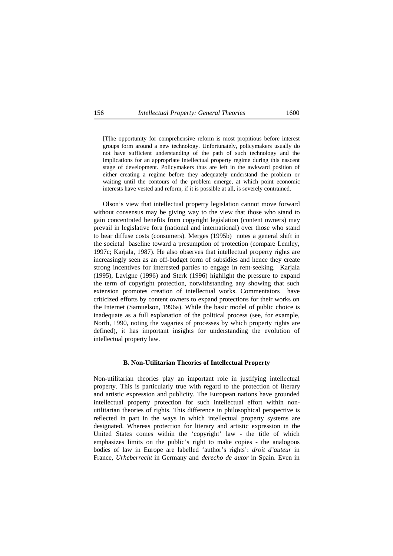[T]he opportunity for comprehensive reform is most propitious before interest groups form around a new technology. Unfortunately, policymakers usually do not have sufficient understanding of the path of such technology and the implications for an appropriate intellectual property regime during this nascent stage of development. Policymakers thus are left in the awkward position of either creating a regime before they adequately understand the problem or waiting until the contours of the problem emerge, at which point economic interests have vested and reform, if it is possible at all, is severely contrained.

Olson's view that intellectual property legislation cannot move forward without consensus may be giving way to the view that those who stand to gain concentrated benefits from copyright legislation (content owners) may prevail in legislative fora (national and international) over those who stand to bear diffuse costs (consumers). Merges (1995b) notes a general shift in the societal baseline toward a presumption of protection (compare Lemley, 1997c; Karjala, 1987). He also observes that intellectual property rights are increasingly seen as an off-budget form of subsidies and hence they create strong incentives for interested parties to engage in rent-seeking. Karjala (1995), Lavigne (1996) and Sterk (1996) highlight the pressure to expand the term of copyright protection, notwithstanding any showing that such extension promotes creation of intellectual works. Commentators have criticized efforts by content owners to expand protections for their works on the Internet (Samuelson, 1996a). While the basic model of public choice is inadequate as a full explanation of the political process (see, for example, North, 1990, noting the vagaries of processes by which property rights are defined), it has important insights for understanding the evolution of intellectual property law.

#### **B. Non-Utilitarian Theories of Intellectual Property**

Non-utilitarian theories play an important role in justifying intellectual property. This is particularly true with regard to the protection of literary and artistic expression and publicity. The European nations have grounded intellectual property protection for such intellectual effort within nonutilitarian theories of rights. This difference in philosophical perspective is reflected in part in the ways in which intellectual property systems are designated. Whereas protection for literary and artistic expression in the United States comes within the 'copyright' law - the title of which emphasizes limits on the public's right to make copies - the analogous bodies of law in Europe are labelled 'author's rights': *droit d'auteur* in France, *Urheberrecht* in Germany and *derecho de autor* in Spain. Even in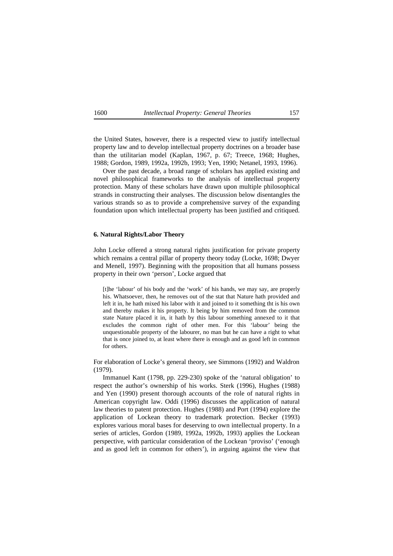the United States, however, there is a respected view to justify intellectual property law and to develop intellectual property doctrines on a broader base than the utilitarian model (Kaplan, 1967, p. 67; Treece, 1968; Hughes, 1988; Gordon, 1989, 1992a, 1992b, 1993; Yen, 1990; Netanel, 1993, 1996).

Over the past decade, a broad range of scholars has applied existing and novel philosophical frameworks to the analysis of intellectual property protection. Many of these scholars have drawn upon multiple philosophical strands in constructing their analyses. The discussion below disentangles the various strands so as to provide a comprehensive survey of the expanding foundation upon which intellectual property has been justified and critiqued.

#### **6. Natural Rights/Labor Theory**

John Locke offered a strong natural rights justification for private property which remains a central pillar of property theory today (Locke, 1698; Dwyer and Menell, 1997). Beginning with the proposition that all humans possess property in their own 'person', Locke argued that

[t]he 'labour' of his body and the 'work' of his hands, we may say, are properly his. Whatsoever, then, he removes out of the stat that Nature hath provided and left it in, he hath mixed his labor with it and joined to it something tht is his own and thereby makes it his property. It being by him removed from the common state Nature placed it in, it hath by this labour something annexed to it that excludes the common right of other men. For this 'labour' being the unquestionable property of the labourer, no man but he can have a right to what that is once joined to, at least where there is enough and as good left in common for others.

For elaboration of Locke's general theory, see Simmons (1992) and Waldron (1979).

Immanuel Kant (1798, pp. 229-230) spoke of the 'natural obligation' to respect the author's ownership of his works. Sterk (1996), Hughes (1988) and Yen (1990) present thorough accounts of the role of natural rights in American copyright law. Oddi (1996) discusses the application of natural law theories to patent protection. Hughes (1988) and Port (1994) explore the application of Lockean theory to trademark protection. Becker (1993) explores various moral bases for deserving to own intellectual property. In a series of articles, Gordon (1989, 1992a, 1992b, 1993) applies the Lockean perspective, with particular consideration of the Lockean 'proviso' ('enough and as good left in common for others'), in arguing against the view that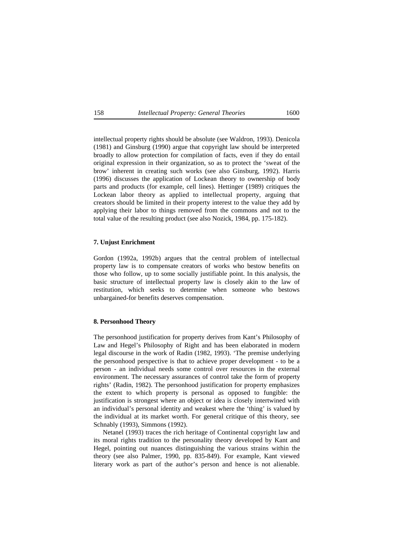intellectual property rights should be absolute (see Waldron, 1993). Denicola (1981) and Ginsburg (1990) argue that copyright law should be interpreted broadly to allow protection for compilation of facts, even if they do entail original expression in their organization, so as to protect the 'sweat of the brow' inherent in creating such works (see also Ginsburg, 1992). Harris (1996) discusses the application of Lockean theory to ownership of body parts and products (for example, cell lines). Hettinger (1989) critiques the Lockean labor theory as applied to intellectual property, arguing that creators should be limited in their property interest to the value they add by applying their labor to things removed from the commons and not to the total value of the resulting product (see also Nozick, 1984, pp. 175-182).

#### **7. Unjust Enrichment**

Gordon (1992a, 1992b) argues that the central problem of intellectual property law is to compensate creators of works who bestow benefits on those who follow, up to some socially justifiable point. In this analysis, the basic structure of intellectual property law is closely akin to the law of restitution, which seeks to determine when someone who bestows unbargained-for benefits deserves compensation.

#### **8. Personhood Theory**

The personhood justification for property derives from Kant's Philosophy of Law and Hegel's Philosophy of Right and has been elaborated in modern legal discourse in the work of Radin (1982, 1993). 'The premise underlying the personhood perspective is that to achieve proper development - to be a person - an individual needs some control over resources in the external environment. The necessary assurances of control take the form of property rights' (Radin, 1982). The personhood justification for property emphasizes the extent to which property is personal as opposed to fungible: the justification is strongest where an object or idea is closely intertwined with an individual's personal identity and weakest where the 'thing' is valued by the individual at its market worth. For general critique of this theory, see Schnably (1993), Simmons (1992).

Netanel (1993) traces the rich heritage of Continental copyright law and its moral rights tradition to the personality theory developed by Kant and Hegel, pointing out nuances distinguishing the various strains within the theory (see also Palmer, 1990, pp. 835-849). For example, Kant viewed literary work as part of the author's person and hence is not alienable.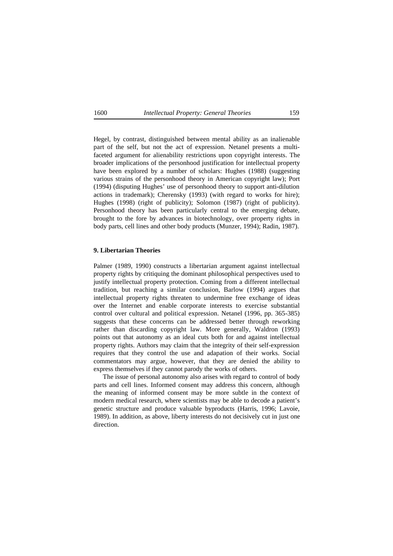Hegel, by contrast, distinguished between mental ability as an inalienable part of the self, but not the act of expression. Netanel presents a multifaceted argument for alienability restrictions upon copyright interests. The broader implications of the personhood justification for intellectual property have been explored by a number of scholars: Hughes (1988) (suggesting various strains of the personhood theory in American copyright law); Port (1994) (disputing Hughes' use of personhood theory to support anti-dilution actions in trademark); Cherensky (1993) (with regard to works for hire); Hughes (1998) (right of publicity); Solomon (1987) (right of publicity). Personhood theory has been particularly central to the emerging debate, brought to the fore by advances in biotechnology, over property rights in body parts, cell lines and other body products (Munzer, 1994); Radin, 1987).

### **9. Libertarian Theories**

Palmer (1989, 1990) constructs a libertarian argument against intellectual property rights by critiquing the dominant philosophical perspectives used to justify intellectual property protection. Coming from a different intellectual tradition, but reaching a similar conclusion, Barlow (1994) argues that intellectual property rights threaten to undermine free exchange of ideas over the Internet and enable corporate interests to exercise substantial control over cultural and political expression. Netanel (1996, pp. 365-385) suggests that these concerns can be addressed better through reworking rather than discarding copyright law. More generally, Waldron (1993) points out that autonomy as an ideal cuts both for and against intellectual property rights. Authors may claim that the integrity of their self-expression requires that they control the use and adapation of their works. Social commentators may argue, however, that they are denied the ability to express themselves if they cannot parody the works of others.

The issue of personal autonomy also arises with regard to control of body parts and cell lines. Informed consent may address this concern, although the meaning of informed consent may be more subtle in the context of modern medical research, where scientists may be able to decode a patient's genetic structure and produce valuable byproducts (Harris, 1996; Lavoie, 1989). In addition, as above, liberty interests do not decisively cut in just one direction.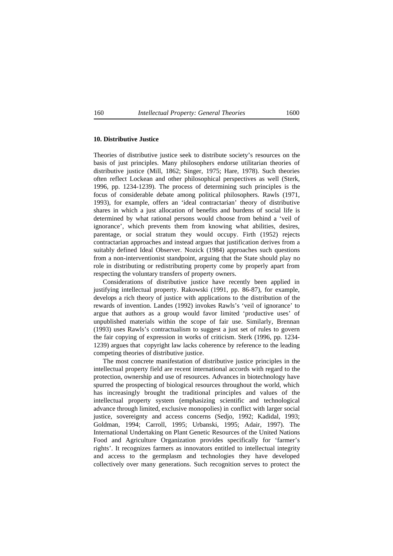#### **10. Distributive Justice**

Theories of distributive justice seek to distribute society's resources on the basis of just principles. Many philosophers endorse utilitarian theories of distributive justice (Mill, 1862; Singer, 1975; Hare, 1978). Such theories often reflect Lockean and other philosophical perspectives as well (Sterk, 1996, pp. 1234-1239). The process of determining such principles is the focus of considerable debate among political philosophers. Rawls (1971, 1993), for example, offers an 'ideal contractarian' theory of distributive shares in which a just allocation of benefits and burdens of social life is determined by what rational persons would choose from behind a 'veil of ignorance', which prevents them from knowing what abilities, desires, parentage, or social stratum they would occupy. Firth (1952) rejects contractarian approaches and instead argues that justification derives from a suitably defined Ideal Observer. Nozick (1984) approaches such questions from a non-interventionist standpoint, arguing that the State should play no role in distributing or redistributing property come by properly apart from respecting the voluntary transfers of property owners.

Considerations of distributive justice have recently been applied in justifying intellectual property. Rakowski (1991, pp. 86-87), for example, develops a rich theory of justice with applications to the distribution of the rewards of invention. Landes (1992) invokes Rawls's 'veil of ignorance' to argue that authors as a group would favor limited 'productive uses' of unpublished materials within the scope of fair use. Similarly, Brennan (1993) uses Rawls's contractualism to suggest a just set of rules to govern the fair copying of expression in works of criticism. Sterk (1996, pp. 1234- 1239) argues that copyright law lacks coherence by reference to the leading competing theories of distributive justice.

The most concrete manifestation of distributive justice principles in the intellectual property field are recent international accords with regard to the protection, ownership and use of resources. Advances in biotechnology have spurred the prospecting of biological resources throughout the world, which has increasingly brought the traditional principles and values of the intellectual property system (emphasizing scientific and technological advance through limited, exclusive monopolies) in conflict with larger social justice, sovereignty and access concerns (Sedjo, 1992; Kadidal, 1993; Goldman, 1994; Carroll, 1995; Urbanski, 1995; Adair, 1997). The International Undertaking on Plant Genetic Resources of the United Nations Food and Agriculture Organization provides specifically for 'farmer's rights'. It recognizes farmers as innovators entitled to intellectual integrity and access to the germplasm and technologies they have developed collectively over many generations. Such recognition serves to protect the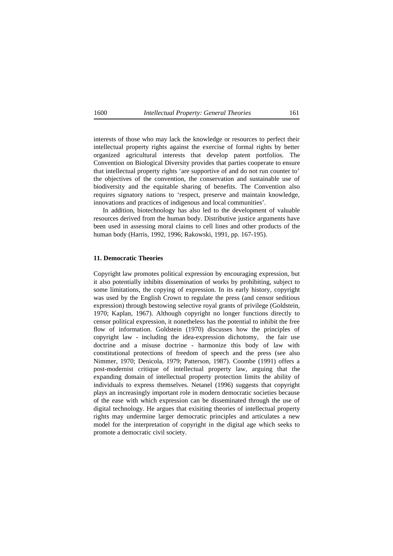interests of those who may lack the knowledge or resources to perfect their intellectual property rights against the exercise of formal rights by better organized agricultural interests that develop patent portfolios. The Convention on Biological Diversity provides that parties cooperate to ensure that intellectual property rights 'are supportive of and do not run counter to' the objectives of the convention, the conservation and sustainable use of biodiversity and the equitable sharing of benefits. The Convention also requires signatory nations to 'respect, preserve and maintain knowledge, innovations and practices of indigenous and local communities'.

In addition, biotechnology has also led to the development of valuable resources derived from the human body. Distributive justice arguments have been used in assessing moral claims to cell lines and other products of the human body (Harris, 1992, 1996; Rakowski, 1991, pp. 167-195).

### **11. Democratic Theories**

Copyright law promotes political expression by encouraging expression, but it also potentially inhibits dissemination of works by prohibiting, subject to some limitations, the copying of expression. In its early history, copyright was used by the English Crown to regulate the press (and censor seditious expression) through bestowing selective royal grants of privilege (Goldstein, 1970; Kaplan, 1967). Although copyright no longer functions directly to censor political expression, it nonetheless has the potential to inhibit the free flow of information. Goldstein (1970) discusses how the principles of copyright law - including the idea-expression dichotomy, the fair use doctrine and a misuse doctrine - harmonize this body of law with constitutional protections of freedom of speech and the press (see also Nimmer, 1970; Denicola, 1979; Patterson, 1987). Coombe (1991) offers a post-modernist critique of intellectual property law, arguing that the expanding domain of intellectual property protection limits the ability of individuals to express themselves. Netanel (1996) suggests that copyright plays an increasingly important role in modern democratic societies because of the ease with which expression can be disseminated through the use of digital technology. He argues that exisiting theories of intellectual property rights may undermine larger democratic principles and articulates a new model for the interpretation of copyright in the digital age which seeks to promote a democratic civil society.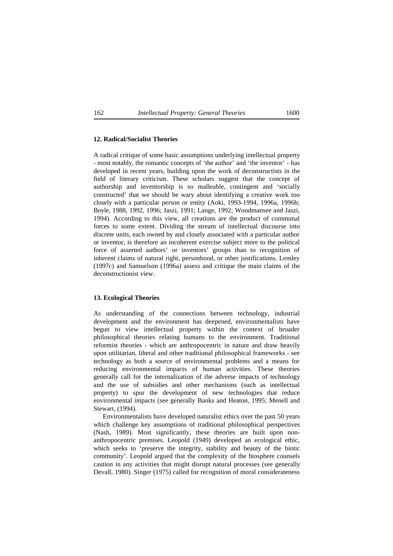#### **12. Radical/Socialist Theories**

A radical critique of some basic assumptions underlying intellectual property - most notably, the romantic concepts of 'the author' and 'the inventor' - has developed in recent years, building upon the work of deconstructists in the field of literary criticism. These scholars suggest that the concept of authorship and inventorship is so malleable, contingent and 'socially constructed' that we should be wary about identifying a creative work too closely with a particular person or entity (Aoki, 1993-1994, 1996a, 1996b; Boyle, 1988, 1992, 1996; Jaszi, 1991; Lange, 1992; Woodmansee and Jaszi, 1994). According to this view, all creations are the product of communal forces to some extent. Dividing the stream of intellectual discourse into discrete units, each owned by and closely associated with a particular author or inventor, is therefore an incoherent exercise subject more to the political force of asserted authors' or inventors' groups than to recognition of inherent claims of natural right, personhood, or other justifications. Lemley (1997c) and Samuelson (1996a) assess and critique the main claims of the deconstructionist view.

#### **13. Ecological Theories**

As understanding of the connections between technology, industrial development and the environment has deepened, environmentalists have begun to view intellectual property within the context of broader philosophical theories relating humans to the environment. Traditional reformist theories - which are anthropocentric in nature and draw heavily upon utilitarian, liberal and other traditional philosophical frameworks - see technology as both a source of environmental problems and a means for reducing environmental impacts of human activities. These theories generally call for the internalization of the adverse impacts of technology and the use of subsidies and other mechanisms (such as intellectual property) to spur the development of new technologies that reduce environmental impacts (see generally Banks and Heaton, 1995; Menell and Stewart, (1994).

Environmentalists have developed naturalist ethics over the past 50 years which challenge key assumptions of traditional philosophical perspectives (Nash, 1989). Most significantly, these theories are built upon nonanthropocentric premises. Leopold (1949) developed an ecological ethic, which seeks to 'preserve the integrity, stability and beauty of the biotic community'. Leopold argued that the complexity of the biosphere counsels caution in any activities that might disrupt natural processes (see generally Devall, 1980). Singer (1975) called for recognition of moral considerateness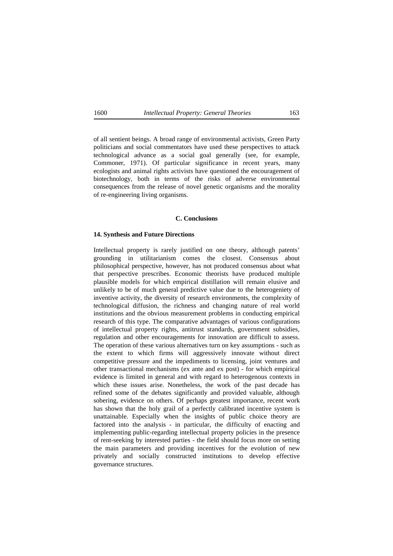of all sentient beings. A broad range of environmental activists, Green Party politicians and social commentators have used these perspectives to attack technological advance as a social goal generally (see, for example, Commoner, 1971). Of particular significance in recent years, many ecologists and animal rights activists have questioned the encouragement of biotechnology, both in terms of the risks of adverse environmental consequences from the release of novel genetic organisms and the morality of re-engineering living organisms.

#### **C. Conclusions**

#### **14. Synthesis and Future Directions**

Intellectual property is rarely justified on one theory, although patents' grounding in utilitarianism comes the closest. Consensus about philosophical perspective, however, has not produced consensus about what that perspective prescribes. Economic theorists have produced multiple plausible models for which empirical distillation will remain elusive and unlikely to be of much general predictive value due to the heterogeniety of inventive activity, the diversity of research environments, the complexity of technological diffusion, the richness and changing nature of real world institutions and the obvious measurement problems in conducting empirical research of this type. The comparative advantages of various configurations of intellectual property rights, antitrust standards, government subsidies, regulation and other encouragements for innovation are difficult to assess. The operation of these various alternatives turn on key assumptions - such as the extent to which firms will aggressively innovate without direct competitive pressure and the impediments to licensing, joint ventures and other transactional mechanisms (ex ante and ex post) - for which empirical evidence is limited in general and with regard to heterogenous contexts in which these issues arise. Nonetheless, the work of the past decade has refined some of the debates significantly and provided valuable, although sobering, evidence on others. Of perhaps greatest importance, recent work has shown that the holy grail of a perfectly calibrated incentive system is unattainable. Especially when the insights of public choice theory are factored into the analysis - in particular, the difficulty of enacting and implementing public-regarding intellectual property policies in the presence of rent-seeking by interested parties - the field should focus more on setting the main parameters and providing incentives for the evolution of new privately and socially constructed institutions to develop effective governance structures.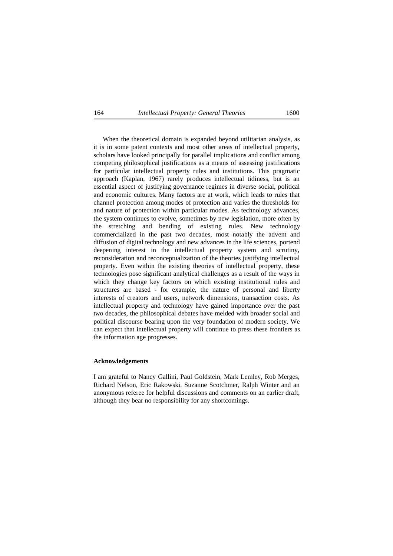When the theoretical domain is expanded beyond utilitarian analysis, as it is in some patent contexts and most other areas of intellectual property, scholars have looked principally for parallel implications and conflict among competing philosophical justifications as a means of assessing justifications for particular intellectual property rules and institutions. This pragmatic approach (Kaplan, 1967) rarely produces intellectual tidiness, but is an essential aspect of justifying governance regimes in diverse social, political and economic cultures. Many factors are at work, which leads to rules that channel protection among modes of protection and varies the thresholds for and nature of protection within particular modes. As technology advances, the system continues to evolve, sometimes by new legislation, more often by the stretching and bending of existing rules. New technology commercialized in the past two decades, most notably the advent and diffusion of digital technology and new advances in the life sciences, portend deepening interest in the intellectual property system and scrutiny, reconsideration and reconceptualization of the theories justifying intellectual property. Even within the existing theories of intellectual property, these technologies pose significant analytical challenges as a result of the ways in which they change key factors on which existing institutional rules and structures are based - for example, the nature of personal and liberty interests of creators and users, network dimensions, transaction costs. As intellectual property and technology have gained importance over the past two decades, the philosophical debates have melded with broader social and political discourse bearing upon the very foundation of modern society. We can expect that intellectual property will continue to press these frontiers as the information age progresses.

#### **Acknowledgements**

I am grateful to Nancy Gallini, Paul Goldstein, Mark Lemley, Rob Merges, Richard Nelson, Eric Rakowski, Suzanne Scotchmer, Ralph Winter and an anonymous referee for helpful discussions and comments on an earlier draft, although they bear no responsibility for any shortcomings.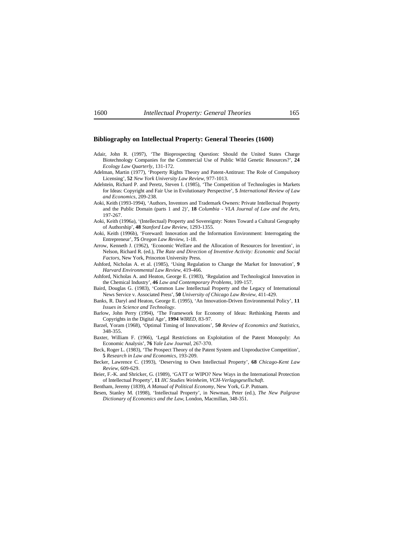#### **Bibliography on Intellectual Property: General Theories (1600)**

- Adair, John R. (1997), 'The Bioprospecting Question: Should the United States Charge Biotechnology Companies for the Commercial Use of Public Wild Genetic Resources?', **24** *Ecology Law Quarterly*, 131-172.
- Adelman, Martin (1977), 'Property Rights Theory and Patent-Antitrust: The Role of Compulsory Licensing', **52** *New York University Law Review*, 977-1013.
- Adelstein, Richard P. and Peretz, Steven I. (1985), 'The Competition of Technologies in Markets for Ideas: Copyright and Fair Use in Evolutionary Perspective', **5** *International Review of Law and Economics*, 209-238.
- Aoki, Keith (1993-1994), 'Authors, Inventors and Trademark Owners: Private Intellectual Property and the Public Domain (parts 1 and 2)', **18** *Columbia - VLA Journal of Law and the Arts*, 197-267.
- Aoki, Keith (1996a), '(Intellectual) Property and Sovereignty: Notes Toward a Cultural Geography of Authorship', **48** *Stanford Law Review*, 1293-1355.
- Aoki, Keith (1996b), 'Foreward: Innovation and the Information Environment: Interrogating the Entrepreneur', **75** *Oregon Law Review*, 1-18.
- Arrow, Kenneth J. (1962), 'Economic Welfare and the Allocation of Resources for Invention', in Nelson, Richard R. (ed.), *The Rate and Direction of Inventive Activity: Economic and Social Factors*, New York, Princeton University Press.
- Ashford, Nicholas A. et al. (1985), 'Using Regulation to Change the Market for Innovation', **9** *Harvard Environmental Law Review*, 419-466.
- Ashford, Nicholas A. and Heaton, George E. (1983), 'Regulation and Technological Innovation in the Chemical Industry', **46** *Law and Contemporary Problems*, 109-157.
- Baird, Douglas G. (1983), 'Common Law Intellectual Property and the Legacy of International News Service v. Associated Press', **50** *University of Chicago Law Review*, 411-429.
- Banks, R. Daryl and Heaton, George E. (1995), 'An Innovation-Driven Environmental Policy', **11** *Issues in Science and Technology*.
- Barlow, John Perry (1994), 'The Framework for Economy of Ideas: Rethinking Patents and Copyrights in the Digital Age', **1994** *WIRED*, 83-97.
- Barzel, Yoram (1968), 'Optimal Timing of Innovations', **50** *Review of Economics and Statistics*, 348-355.
- Baxter, William F. (1966), 'Legal Restrictions on Exploitation of the Patent Monopoly: An Economic Analysis', **76** *Yale Law Journal*, 267-370.
- Beck, Roger L. (1983), 'The Prospect Theory of the Patent System and Unproductive Competition', **5** *Research in Law and Economics*, 193-209.
- Becker, Lawrence C. (1993), 'Deserving to Own Intellectual Property', **68** *Chicago-Kent Law Review*, 609-629.
- Beier, F.-K. and Shricker, G. (1989), 'GATT or WIPO? New Ways in the International Protection of Intellectual Property', **11** *IIC Studies Weinheim, VCH-Verlagsgesellschaft*.
- Bentham, Jeremy (1839), *A Manual of Political Economy*, New York, G.P. Putnam.
- Besen, Stanley M. (1998), 'Intellectual Property', in Newman, Peter (ed.), *The New Palgrave Dictionary of Economics and the Law*, London, Macmillan, 348-351.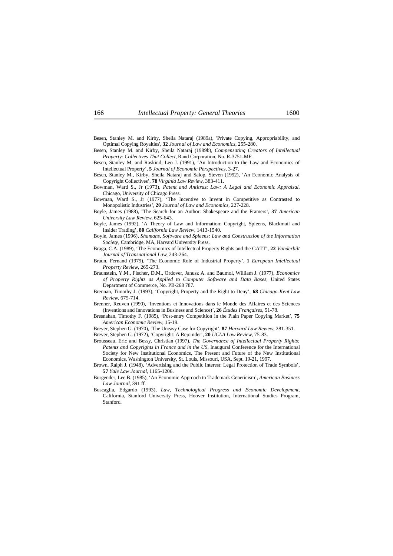- Besen, Stanley M. and Kirby, Sheila Nataraj (1989a), 'Private Copying, Appropriability, and Optimal Copying Royalties', **32** *Journal of Law and Economics*, 255-280.
- Besen, Stanley M. and Kirby, Sheila Nataraj (1989b), *Compensating Creators of Intellectual Property: Collectives That Collect*, Rand Corporation, No. R-3751-MF.
- Besen, Stanley M. and Raskind, Leo J. (1991), 'An Introduction to the Law and Economics of Intellectual Property', **5** *Journal of Economic Perspectives*, 3-27.
- Besen, Stanley M., Kirby, Sheila Nataraj and Salop, Steven (1992), 'An Economic Analysis of Copyright Collectives', **78** *Virginia Law Review*, 383-411.

Bowman, Ward S., Jr (1973), *Patent and Antitrust Law: A Legal and Economic Appraisal*, Chicago, University of Chicago Press.

- Bowman, Ward S., Jr (1977), 'The Incentive to Invent in Competitive as Contrasted to Monopolistic Industries', **20** *Journal of Law and Economics*, 227-228.
- Boyle, James (1988), 'The Search for an Author: Shakespeare and the Framers', **37** *American University Law Review*, 625-643.
- Boyle, James (1992), 'A Theory of Law and Information: Copyright, Spleens, Blackmail and Insider Trading', **80** *California Law Review*, 1413-1540.
- Boyle, James (1996), *Shamans, Software and Spleens: Law and Construction of the Information Society*, Cambridge, MA, Harvard University Press.

Braga, C.A. (1989), 'The Economics of Intellectual Property Rights and the GATT', **22** *Vanderbilt Journal of Transnational Law*, 243-264.

- Braun, Fernand (1979), 'The Economic Role of Industrial Property', **1** *European Intellectual Property Review*, 265-273.
- Braunstein, Y.M., Fischer, D.M., Ordover, Janusz A. and Baumol, William J. (1977), *Economics of Property Rights as Applied to Computer Software and Data Bases*, United States Department of Commerce, No. PB-268 787.
- Brennan, Timothy J. (1993), 'Copyright, Property and the Right to Deny', **68** *Chicago-Kent Law Review*, 675-714.

Brenner, Reuven (1990), 'Inventions et Innovations dans le Monde des Affaires et des Sciences (Inventions and Innovations in Business and Science)', **26** *Études Françaises*, 51-78.

Bresnahan, Timothy F. (1985), 'Post-entry Competition in the Plain Paper Copying Market', **75** *American Economic Review*, 15-19.

Breyer, Stephen G. (1970), 'The Uneasy Case for Copyright', **87** *Harvard Law Review*, 281-351. Breyer, Stephen G. (1972), 'Copyright: A Rejoinder', **20** *UCLA Law Review*, 75-83.

- Brousseau, Eric and Bessy, Christian (1997), *The Governance of Intellectual Property Rights: Patents and Copyrights in France and in the US*, Inaugural Conference for the International Society for New Institutional Economics, The Present and Future of the New Institutional Economics, Washington University, St. Louis, Missouri, USA, Sept. 19-21, 1997.
- Brown, Ralph J. (1948), 'Advertising and the Public Interest: Legal Protection of Trade Symbols', **57** *Yale Law Journal*, 1165-1206.
- Burgender, Lee B. (1985), 'An Economic Approach to Trademark Genericism', *American Business Law Journal*, 391 ff.
- Buscaglia, Edgardo (1993), *Law, Technological Progress and Economic Development*, California, Stanford University Press, Hoover Institution, International Studies Program, Stanford.

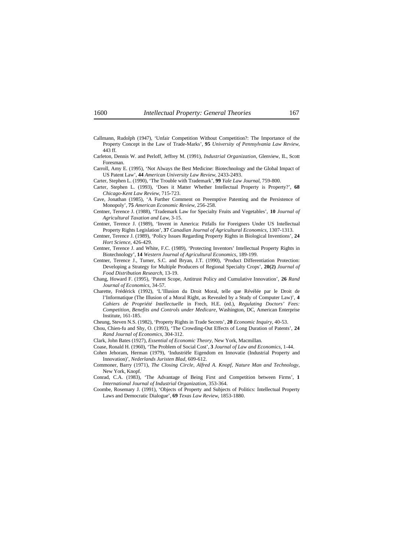- Callmann, Rudolph (1947), 'Unfair Competition Without Competition?: The Importance of the Property Concept in the Law of Trade-Marks', **95** *University of Pennsylvania Law Review*, 443 ff.
- Carleton, Dennis W. and Perloff, Jeffrey M. (1991), *Industrial Organization*, Glenview, IL, Scott Foresman.
- Carroll, Amy E. (1995), 'Not Always the Best Medicine: Biotechnology and the Global Impact of US Patent Law', **44** *American University Law Review*, 2433-2493.
- Carter, Stephen L. (1990), 'The Trouble with Trademark', **99** *Yale Law Journal*, 759-800.
- Carter, Stephen L. (1993), 'Does it Matter Whether Intellectual Property is Property?', **68** *Chicago-Kent Law Review*, 715-723.
- Cave, Jonathan (1985), 'A Further Comment on Preemptive Patenting and the Persistence of Monopoly', **75** *American Economic Review*, 256-258.
- Centner, Terence J. (1988), 'Trademark Law for Specialty Fruits and Vegetables', **10** *Journal of Agricultural Taxation and Law*, 3-15.
- Centner, Terence J. (1989), 'Invent in America: Pitfalls for Foreigners Under US Intellectual Property Rights Legislation', **37** *Canadian Journal of Agricultural Economics*, 1307-1313.
- Centner, Terence J. (1989), 'Policy Issues Regarding Property Rights in Biological Inventions', **24** *Hort Science*, 426-429.
- Centner, Terence J. and White, F.C. (1989), 'Protecting Inventors' Intellectual Property Rights in Biotechnology', **14** *Western Journal of Agricultural Economics*, 189-199.
- Centner, Terence J., Turner, S.C. and Bryan, J.T. (1990), 'Product Differentiation Protection: Developing a Strategy for Multiple Producers of Regional Specialty Crops', **20(2)** *Journal of Food Distribution Research*, 13-19.
- Chang, Howard F. (1995), 'Patent Scope, Antitrust Policy and Cumulative Innovation', **26** *Rand Journal of Economics*, 34-57.
- Charette, Frédérick (1992), 'L'Illusion du Droit Moral, telle que Révélée par le Droit de l'Informatique (The Illusion of a Moral Right, as Revealed by a Study of Computer Law)', **4** *Cahiers de Propriété Intellectuelle* in Frech, H.E. (ed.), *Regulating Doctors' Fees: Competition, Benefits and Controls under Medicare*, Washington, DC, American Enterprise Institute, 161-185.
- Cheung, Steven N.S. (1982), 'Property Rights in Trade Secrets', **20** *Economic Inquiry*, 40-53.
- Chou, Chien-fu and Shy, O. (1993), 'The Crowding-Out Effects of Long Duration of Patents', **24** *Rand Journal of Economics*, 304-312.
- Clark, John Bates (1927), *Essential of Economic Theory*, New York, Macmillan.
- Coase, Ronald H. (1960), 'The Problem of Social Cost', **3** *Journal of Law and Economics*, 1-44. Cohen Jehoram, Herman (1979), 'Industriële Eigendom en Innovatie (Industrial Property and
- Innovation)', *Nederlands Juristen Blad*, 609-612. Commoner, Barry (1971), *The Closing Circle, Alfred A. Knopf, Nature Man and Technology*, New York, Knopf.
- Conrad, C.A. (1983), 'The Advantage of Being First and Competition between Firms', **1** *International Journal of Industrial Organization*, 353-364.
- Coombe, Rosemary J. (1991), 'Objects of Property and Subjects of Politics: Intellectual Property Laws and Democratic Dialogue', **69** *Texas Law Review*, 1853-1880.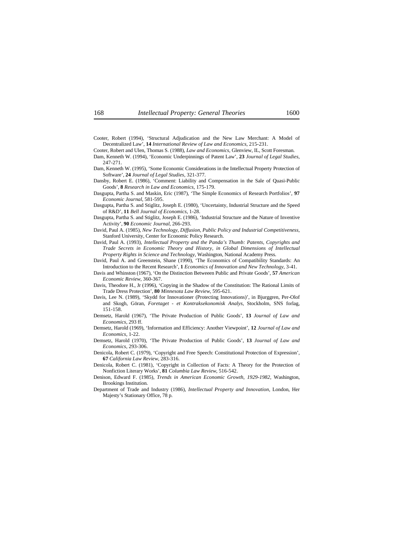Cooter, Robert (1994), 'Structural Adjudication and the New Law Merchant: A Model of Decentralized Law', **14** *International Review of Law and Economics*, 215-231.

Cooter, Robert and Ulen, Thomas S. (1988), *Law and Economics*, Glenview, IL, Scott Foresman.

- Dam, Kenneth W. (1994), 'Economic Underpinnings of Patent Law', **23** *Journal of Legal Studies*, 247-271.
- Dam, Kenneth W. (1995), 'Some Economic Considerations in the Intellectual Property Protection of Software', **24** *Journal of Legal Studies*, 321-377.

Dansby, Robert E. (1986), 'Comment: Liability and Compensation in the Sale of Quasi-Public Goods', **8** *Research in Law and Economics*, 175-179.

Dasgupta, Partha S. and Maskin, Eric (1987), 'The Simple Economics of Research Portfolios', **97** *Economic Journal*, 581-595.

Dasgupta, Partha S. and Stiglitz, Joseph E. (1980), 'Uncertainty, Industrial Structure and the Speed of R&D', **11** *Bell Journal of Economics*, 1-28.

Dasgupta, Partha S. and Stiglitz, Joseph E. (1986), 'Industrial Structure and the Nature of Inventive Activity', **90** *Economic Journal*, 266-293.

David, Paul A. (1985), *New Technology, Diffusion, Public Policy and Industrial Competitiveness*, Stanford University, Center for Economic Policy Research.

David, Paul A. (1993), *Intellectual Property and the Panda's Thumb: Patents, Copyrights and Trade Secrets in Economic Theory and History, in Global Dimensions of Intellectual Property Rights in Science and Technology*, Washington, National Academy Press.

David, Paul A. and Greenstein, Shane (1990), 'The Economics of Compatibility Standards: An Introduction to the Recent Research', **1** *Economics of Innovation and New Technology*, 3-41.

Davis and Whinston (1967), 'On the Distinction Betweeen Public and Private Goods', **57** *American Economic Review*, 360-367.

Davis, Theodore H., Jr (1996), 'Copying in the Shadow of the Constitution: The Rational Limits of Trade Dress Protection', **80** *Minnesota Law Review*, 595-621.

Davis, Lee N. (1989), 'Skydd for Innovationer (Protecting Innovations)', in Bjurggren, Per-Olof and Skogh, Göran, *Foretaget - et Kontraksekonomisk Analys*, Stockholm, SNS forlag, 151-158.

Demsetz, Harold (1967), 'The Private Production of Public Goods', **13** *Journal of Law and Economics*, 293 ff.

Demsetz, Harold (1969), 'Information and Efficiency: Another Viewpoint', **12** *Journal of Law and Economics*, 1-22.

Demsetz, Harold (1970), 'The Private Production of Public Goods', **13** *Journal of Law and Economics*, 293-306.

Denicola, Robert C. (1979), 'Copyright and Free Speech: Constitutional Protection of Expression', **67** *California Law Review*, 283-316.

Denicola, Robert C. (1981), 'Copyright in Collection of Facts: A Theory for the Protection of Nonfiction Literary Works', **81** *Columbia Law Review*, 516-542.

Denison, Edward F. (1985), *Trends in American Economic Growth, 1929-1982*, Washington, Brookings Institution.

Department of Trade and Industry (1986), *Intellectual Property and Innovation*, London, Her Majesty's Stationary Office, 78 p.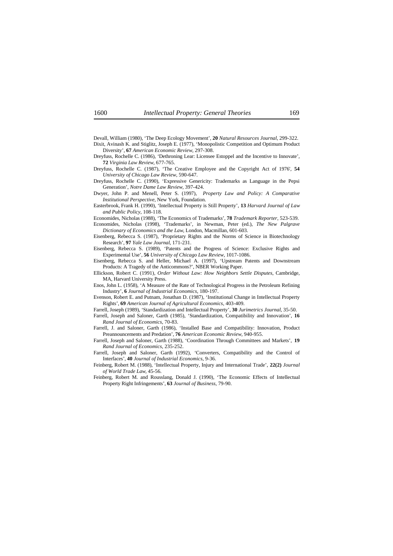Devall, William (1980), 'The Deep Ecology Movement', **20** *Natural Resources Journal*, 299-322. Dixit, Avinash K. and Stiglitz, Joseph E. (1977), 'Monopolistic Competition and Optimum Product Diversity', **67** *American Economic Review*, 297-308.

Dreyfuss, Rochelle C. (1986), 'Dethroning Lear: Licensee Estoppel and the Incentive to Innovate', **72** *Virginia Law Review*, 677-765.

Dreyfuss, Rochelle C. (1987), 'The Creative Employee and the Copyright Act of 1976', **54** *University of Chicago Law Review*, 590-647.

Dreyfuss, Rochelle C. (1990), 'Expressive Genericity: Trademarks as Language in the Pepsi Generation', *Notre Dame Law Review*, 397-424.

Dwyer, John P. and Menell, Peter S. (1997), *Property Law and Policy: A Comparative Institutional Perspective*, New York, Foundation.

Easterbrook, Frank H. (1990), 'Intellectual Property is Still Property', **13** *Harvard Journal of Law and Public Policy*, 108-118.

Economides, Nicholas (1988), 'The Economics of Trademarks', **78** *Trademark Reporter*, 523-539. Economides, Nicholas (1998), 'Trademarks', in Newman, Peter (ed.), *The New Palgrave*

*Dictionary of Economics and the Law*, London, Macmillan, 601-603. Eisenberg, Rebecca S. (1987), 'Proprietary Rights and the Norms of Science in Biotechnology

Research', **97** *Yale Law Journal*, 171-231.

Eisenberg, Rebecca S. (1989), 'Patents and the Progress of Science: Exclusive Rights and Experimental Use', **56** *University of Chicago Law Review*, 1017-1086.

Eisenberg, Rebecca S. and Heller, Michael A. (1997), 'Upstream Patents and Downstream Products: A Tragedy of the Anticommons?', NBER Working Paper.

Ellickson, Robert C. (1991), *Order Without Law: How Neighbors Settle Disputes*, Cambridge, MA, Harvard University Press.

Enos, John L. (1958), 'A Measure of the Rate of Technological Progress in the Petroleum Refining Industry', **6** *Journal of Industrial Economics*, 180-197.

Evenson, Robert E. and Putnam, Jonathan D. (1987), 'Institutional Change in Intellectual Property Rights', **69** *American Journal of Agricultural Economics*, 403-409.

Farrell, Joseph (1989), 'Standardization and Intellectual Property', **30** *Jurimetrics Journal*, 35-50.

Farrell, Joseph and Saloner, Garth (1985), 'Standardization, Compatibility and Innovation', **16** *Rand Journal of Economics*, 70-83.

Farrell, J. and Saloner, Garth (1986), 'Installed Base and Compatibility: Innovation, Product Preannouncements and Predation', **76** *American Economic Review*, 940-955.

Farrell, Joseph and Saloner, Garth (1988), 'Coordination Through Committees and Markets', **19** *Rand Journal of Economics*, 235-252.

Farrell, Joseph and Saloner, Garth (1992), 'Converters, Compatibility and the Control of Interfaces', **40** *Journal of Industrial Economics*, 9-36.

Feinberg, Robert M. (1988), 'Intellectual Property, Injury and International Trade', **22(2)** *Journal of World Trade Law*, 45-56.

Feinberg, Robert M. and Rousslang, Donald J. (1990), 'The Economic Effects of Intellectual Property Right Infringements', **63** *Journal of Business*, 79-90.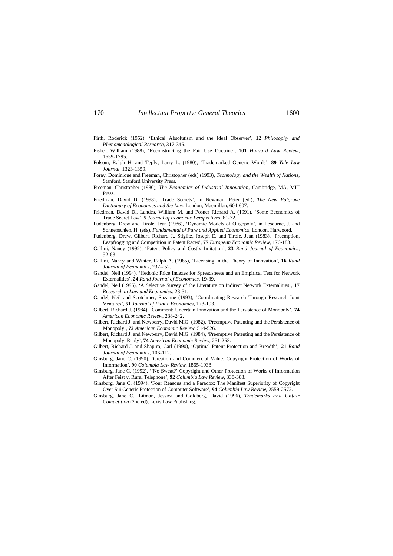- Fisher, William (1988), 'Reconstructing the Fair Use Doctrine', **101** *Harvard Law Review*, 1659-1795.
- Folsom, Ralph H. and Teply, Larry L. (1980), 'Trademarked Generic Words', **89** *Yale Law Journal*, 1323-1359.
- Foray, Dominique and Freeman, Christopher (eds) (1993), *Technology and the Wealth of Nations*, Stanford, Stanford University Press.
- Freeman, Christopher (1980), *The Economics of Industrial Innovation*, Cambridge, MA, MIT Press.
- Friedman, David D. (1998), 'Trade Secrets', in Newman, Peter (ed.), *The New Palgrave Dictionary of Economics and the Law*, London, Macmillan, 604-607.
- Friedman, David D., Landes, William M. and Posner Richard A. (1991), 'Some Economics of Trade Secret Law', **5** *Journal of Economic Perspectives*, 61-72.
- Fudenberg, Drew and Tirole, Jean (1986), 'Dynamic Models of Oligopoly', in Lesourne, J. and Sonnenschien, H. (eds), *Fundamental of Pure and Applied Economics*, London, Harwoord.
- Fudenberg, Drew, Gilbert, Richard J., Stiglitz, Joseph E. and Tirole, Jean (1983), 'Preemption, Leapfrogging and Competition in Patent Races', **77** *European Economic Review*, 176-183.
- Gallini, Nancy (1992), 'Patent Policy and Costly Imitation', **23** *Rand Journal of Economics*, 52-63.
- Gallini, Nancy and Winter, Ralph A. (1985), 'Licensing in the Theory of Innovation', **16** *Rand Journal of Economics*, 237-252.
- Gandel, Neil (1994), 'Hedonic Price Indexes for Spreadsheets and an Empirical Test for Network Externalities', **24** *Rand Journal of Economics*, 19-39.
- Gandel, Neil (1995), 'A Selective Survey of the Literature on Indirect Network Externalities', **17** *Research in Law and Economics*, 23-31.
- Gandel, Neil and Scotchmer, Suzanne (1993), 'Coordinating Research Through Research Joint Ventures', **51** *Journal of Public Economics*, 173-193.
- Gilbert, Richard J. (1984), 'Comment: Uncertain Innovation and the Persistence of Monopoly', **74** *American Economic Review*, 238-242.
- Gilbert, Richard J. and Newberry, David M.G. (1982), 'Preemptive Patenting and the Persistence of Monopoly', **72** *American Economic Review*, 514-526.
- Gilbert, Richard J. and Newberry, David M.G. (1984), 'Preemptive Patenting and the Persistence of Monopoly: Reply', **74** *American Economic Review*, 251-253.
- Gilbert, Richard J. and Shapiro, Carl (1990), 'Optimal Patent Protection and Breadth', **21** *Rand Journal of Economics*, 106-112.
- Ginsburg, Jane C. (1990), 'Creation and Commercial Value: Copyright Protection of Works of Information', **90** *Columbia Law Review*, 1865-1938.
- Ginsburg, Jane C. (1992), ''No Sweat?' Copyright and Other Protection of Works of Information After Feist v. Rural Telephone', **92** *Columbia Law Review*, 338-388.
- Ginsburg, Jane C. (1994), 'Four Reasons and a Paradox: The Manifest Superiority of Copyright Over Sui Generis Protection of Computer Software', **94** *Columbia Law Review*, 2559-2572.
- Ginsburg, Jane C., Litman, Jessica and Goldberg, David (1996), *Trademarks and Unfair Competition* (2nd ed), Lexis Law Publishing.



Firth, Roderick (1952), 'Ethical Absolutism and the Ideal Observer', **12** *Philosophy and Phenomenological Research*, 317-345.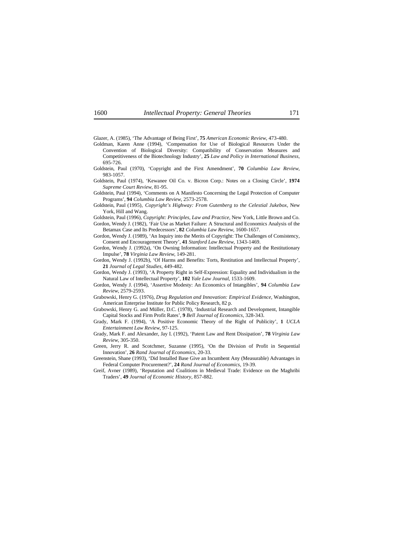Glazer, A. (1985), 'The Advantage of Being First', **75** *American Economic Review*, 473-480.

- Goldman, Karen Anne (1994), 'Compensation for Use of Biological Resources Under the Convention of Biological Diversity: Compatibility of Conservation Measures and Competitiveness of the Biotechnology Industry', **25** *Law and Policy in International Business*, 695-726.
- Goldstein, Paul (1970), 'Copyright and the First Amendment', **70** *Columbia Law Review*, 983-1057.
- Goldstein, Paul (1974), 'Kewanee Oil Co. v. Bicron Corp.: Notes on a Closing Circle', **1974** *Supreme Court Review*, 81-95.
- Goldstein, Paul (1994), 'Comments on A Manifesto Concerning the Legal Protection of Computer Programs', **94** *Columbia Law Review*, 2573-2578.
- Goldstein, Paul (1995), *Copyright's Highway: From Gutenberg to the Celestial Jukebox*, New York, Hill and Wang.

Goldstein, Paul (1996), *Copyright: Principles, Law and Practice*, New York, Little Brown and Co. Gordon, Wendy J. (1982), 'Fair Use as Market Failure: A Structural and Economics Analysis of the

- Betamax Case and Its Predecessors', **82** *Columbia Law Review*, 1600-1657. Gordon, Wendy J. (1989), 'An Inquiry into the Merits of Copyright: The Challenges of Consistency,
- Consent and Encouragement Theory', **41** *Stanford Law Review*, 1343-1469. Gordon, Wendy J. (1992a), 'On Owning Information: Intellectual Property and the Restitutionary
- Impulse', **78** *Virginia Law Review*, 149-281. Gordon, Wendy J. (1992b), 'Of Harms and Benefits: Torts, Restitution and Intellectual Property',

**21** *Journal of Legal Studies*, 449-482. Gordon, Wendy J. (1993), 'A Property Right in Self-Expression: Equality and Individualism in the Natural Law of Intellectual Property', **102** *Yale Law Journal*, 1533-1609.

- Gordon, Wendy J. (1994), 'Assertive Modesty: An Economics of Intangibles', **94** *Columbia Law Review*, 2579-2593.
- Grabowski, Henry G. (1976), *Drug Regulation and Innovation: Empirical Evidence*, Washington, American Enterprise Institute for Public Policy Research, 82 p.
- Grabowski, Henry G. and Müller, D.C. (1978), 'Industrial Research and Development, Intangible Capital Stocks and Firm Profit Rates', **9** *Bell Journal of Economics*, 328-343.

Grady, Mark F. (1994), 'A Positive Economic Theory of the Right of Publicity', **1** *UCLA Entertainment Law Review*, 97-125.

- Grady, Mark F. and Alexander, Jay I. (1992), 'Patent Law and Rent Dissipation', **78** *Virginia Law Review*, 305-350.
- Green, Jerry R. and Scotchmer, Suzanne (1995), 'On the Division of Profit in Sequential Innovation', **26** *Rand Journal of Economics*, 20-33.
- Greenstein, Shane (1993), 'Did Installed Base Give an Incumbent Any (Measurable) Advantages in Federal Computer Procurement?', **24** *Rand Journal of Economics*, 19-39.
- Greif, Avner (1989), 'Reputation and Coalitions in Medieval Trade: Evidence on the Maghribi Traders', **49** *Journal of Economic History*, 857-882.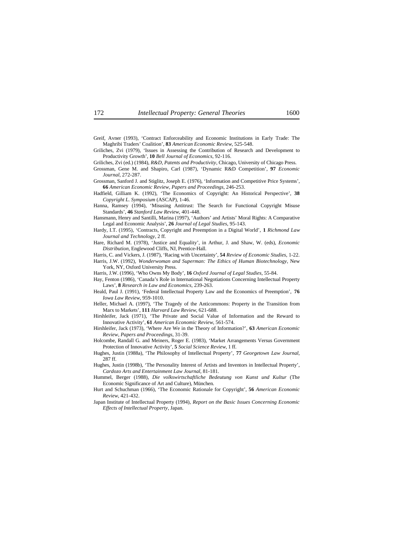Greif, Avner (1993), 'Contract Enforceability and Economic Institutions in Early Trade: The Maghribi Traders' Coalition', **83** *American Economic Review*, 525-548.

Griliches, Zvi (1979), 'Issues in Assessing the Contribution of Research and Development to Productivity Growth', **10** *Bell Journal of Economics*, 92-116.

Griliches, Zvi (ed.) (1984), *R&D, Patents and Productivity*, Chicago, University of Chicago Press.

Grossman, Gene M. and Shapiro, Carl (1987), 'Dynamic R&D Competition', **97** *Economic Journal*, 272-287.

Grossman, Sanford J. and Stiglitz, Joseph E. (1976), 'Information and Competitive Price Systems', **66** *American Economic Review, Papers and Proceedings*, 246-253.

Hadfield, Gilliam K. (1992), 'The Economics of Copyright: An Historical Perspective', **38** *Copyright L. Symposium* (ASCAP), 1-46.

Hanna, Ramsey (1994), 'Misusing Antitrust: The Search for Functional Copyright Misuse Standards', **46** *Stanford Law Review*, 401-448.

Hansmann, Henry and Santilli, Marina (1997), 'Authors' and Artists' Moral Rights: A Comparative Legal and Economic Analysis', **26** *Journal of Legal Studies*, 95-143.

Hardy, I.T. (1995), 'Contracts, Copyright and Preemption in a Digital World', **1** *Richmond Law Journal and Technology*, 2 ff.

Hare, Richard M. (1978), 'Justice and Equality', in Arthur, J. and Shaw, W. (eds), *Economic Distribution*, Englewood Cliffs, NJ, Prentice-Hall.

Harris, C. and Vickers, J. (1987), 'Racing with Uncertainty', **54** *Review of Economic Studies*, 1-22. Harris, J.W. (1992), *Wonderwoman and Superman: The Ethics of Human Biotechnology*, New

York, NY, Oxford University Press.

Harris, J.W. (1996), 'Who Owns My Body', **16** *Oxford Journal of Legal Studies*, 55-84.

Hay, Fenton (1986), 'Canada's Role in International Negotiations Concerning Intellectual Property Laws', **8** *Research in Law and Economics*, 239-263.

Heald, Paul J. (1991), 'Federal Intellectual Property Law and the Economics of Preemption', **76** *Iowa Law Review*, 959-1010.

Heller, Michael A. (1997), 'The Tragedy of the Anticommons: Property in the Transition from Marx to Markets', **111** *Harvard Law Review*, 621-688.

Hirshleifer, Jack (1971), 'The Private and Social Value of Information and the Reward to Innovative Activity', **61** *American Economic Review*, 561-574.

Hirshleifer, Jack (1973), 'Where Are We in the Theory of Information?', **63** *American Economic Review, Papers and Proceedings*, 31-39.

Holcombe, Randall G. and Meiners, Roger E. (1983), 'Market Arrangements Versus Government Protection of Innovative Activity', **5** *Social Science Review*, 1 ff.

Hughes, Justin (1988a), 'The Philosophy of Intellectual Property', **77** *Georgetown Law Journal*, 287 ff.

Hughes, Justin (1998b), 'The Personality Interest of Artists and Inventors in Intellectual Property', *Cardozo Arts and Entertainment Law Journal*, 81-181.

Hummel, Berger (1988), *Die volkswirtschaftliche Bedeutung von Kunst und Kultur* (The Economic Significance of Art and Culture), München.

Hurt and Schuchman (1966), 'The Economic Rationale for Copyright', **56** *American Economic Review*, 421-432.

Japan Institute of Intellectual Property (1994), *Report on the Basic Issues Concerning Economic Effects of Intellectual Property*, Japan.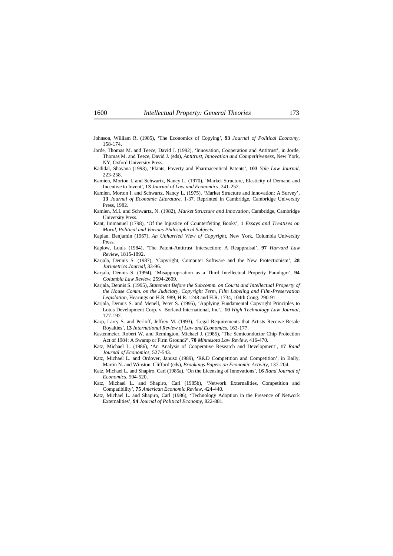- Johnson, William R. (1985), 'The Economics of Copying', **93** *Journal of Political Economy*, 158-174.
- Jorde, Thomas M. and Teece, David J. (1992), 'Innovation, Cooperation and Antitrust', in Jorde, Thomas M. and Teece, David J. (eds), *Antitrust, Innovation and Competitiveness*, New York, NY, Oxford University Press.
- Kadidal, Shayana (1993), 'Plants, Poverty and Pharmaceutical Patents', **103** *Yale Law Journal*, 223-258.
- Kamien, Morton I. and Schwartz, Nancy L. (1970), 'Market Structure, Elasticity of Demand and Incentive to Invent', **13** *Journal of Law and Economics*, 241-252.
- Kamien, Morton I. and Schwartz, Nancy L. (1975), 'Market Structure and lnnovation: A Survey', **13** *Journal of Economic Literature*, 1-37. Reprinted in Cambridge, Cambridge University Press, 1982.
- Kamien, M.I. and Schwartz, N. (1982), *Market Structure and Innovation*, Cambridge, Cambridge University Press.
- Kant, Immanuel (1798), 'Of the Injustice of Counterfeiting Books', **1** *Essays and Treatises on Moral, Political and Various Philosophical Subjects*.
- Kaplan, Benjamin (1967), *An Unhurried View of Copyright*, New York, Columbia University Press.
- Kaplow, Louis (1984), 'The Patent-Antitrust Intersection: A Reappraisal', **97** *Harvard Law Review*, 1815-1892.
- Karjala, Dennis S. (1987), 'Copyright, Computer Software and the New Protectionism', **28** *Jurimetrics Journal*, 33-96.
- Karjala, Dennis S. (1994), 'Misappropriation as a Third Intellectual Property Paradigm', **94** *Columbia Law Review*, 2594-2609.
- Karjala, Dennis S. (1995), *Statement Before the Subcomm. on Courts and Intellectual Property of the House Comm. on the Judiciary, Copyright Term, Film Labeling and Film-Preservation Legislation*, Hearings on H.R. 989, H.R. 1248 and H.R. 1734, 104th Cong. 290-91.
- Karjala, Dennis S. and Menell, Peter S. (1995), 'Applying Fundamental Copyright Principles to Lotus Development Corp. v. Borland International, Inc'., **10** *High Technology Law Journal*, 177-192.
- Karp, Larry S. and Perloff, Jeffrey M. (1993), 'Legal Requirements that Artists Receive Resale Royalties', **13** *International Review of Law and Economics*, 163-177.
- Kastenmeier, Robert W. and Remington, Michael J. (1985), 'The Semiconductor Chip Protection Act of 1984: A Swamp or Firm Ground?', **70** *Minnesota Law Review*, 416-470.
- Katz, Michael L. (1986), 'An Analysis of Cooperative Research and Development', **17** *Rand Journal of Economics*, 527-543.
- Katz, Michael L. and Ordover, Janusz (1989), 'R&D Competition and Competition', in Baily, Martin N. and Winston, Clifford (eds), *Brookings Papers on Economic Activity*, 137-204.
- Katz, Michael L. and Shapiro, Carl (1985a), 'On the Licensing of Innovations', **16** *Rand Journal of Economics*, 504-520.
- Katz, Michael L. and Shapiro, Carl (1985b), 'Network Externalities, Competition and Compatibility', **75** *American Economic Review*, 424-440.
- Katz, Michael L. and Shapiro, Carl (1986), 'Technology Adoption in the Presence of Network Externalities', **94** *Journal of Political Economy*, 822-881.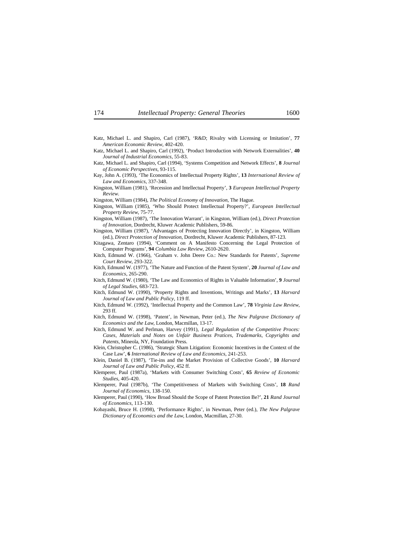- Katz, Michael L. and Shapiro, Carl (1987), 'R&D; Rivalry with Licensing or Imitation', **77** *American Economic Review*, 402-420.
- Katz, Michael L. and Shapiro, Carl (1992), 'Product Introduction with Network Externalities', **40** *Journal of Industrial Economics*, 55-83.
- Katz, Michael L. and Shapiro, Carl (1994), 'Systems Competition and Network Effects', **8** *Journal of Economic Perspectives*, 93-115.
- Kay, John A. (1993), 'The Economics of Intellectual Property Rights', **13** *International Review of Law and Economics*, 337-348.
- Kingston, William (1981), 'Recession and Intellectual Property', **3** *European Intellectual Property Review*.
- Kingston, William (1984), *The Political Economy of Innovation*, The Hague.
- Kingston, William (1985), 'Who Should Protect Intellectual Property?', *European Intellectual Property Review*, 75-77.
- Kingston, William (1987), 'The Innovation Warrant', in Kingston, William (ed.), *Direct Protection of Innovation*, Dordrecht, Kluwer Academic Publishers, 59-86.
- Kingston, William (1987), 'Advantages of Protecting Innovation Directly', in Kingston, William (ed.), *Direct Protection of Innovation*, Dordrecht, Kluwer Academic Publishers, 87-123.
- Kitagawa, Zentaro (1994), 'Comment on A Manifesto Concerning the Legal Protection of Computer Programs', **94** *Columbia Law Review*, 2610-2620.
- Kitch, Edmund W. (1966), 'Graham v. John Deere Co.: New Standards for Patents', *Supreme Court Review*, 293-322.
- Kitch, Edmund W. (1977), 'The Nature and Function of the Patent System', **20** *Journal of Law and Economics*, 265-290.
- Kitch, Edmund W. (1980), 'The Law and Economics of Rights in Valuable Information', **9** *Journal of Legal Studies*, 683-723.
- Kitch, Edmund W. (1990), 'Property Rights and Inventions, Writings and Marks', **13** *Harvard Journal of Law and Public Policy*, 119 ff.
- Kitch, Edmund W. (1992), 'Intellectual Property and the Common Law', **78** *Virginia Law Review*, 293 ff.
- Kitch, Edmund W. (1998), 'Patent', in Newman, Peter (ed.), *The New Palgrave Dictionary of Economics and the Law*, London, Macmillan, 13-17.
- Kitch, Edmund W. and Perlman, Harvey (1991), *Legal Regulation of the Competitive Proces: Cases, Materials and Notes on Unfair Business Pratices, Trademarks, Copyrights and Patents*, Mineola, NY, Foundation Press.
- Klein, Christopher C. (1986), 'Strategic Sham Litigation: Economic Incentives in the Context of the Case Law', **6** *International Review of Law and Economics*, 241-253.
- Klein, Daniel B. (1987), 'Tie-ins and the Market Provision of Collective Goods', **10** *Harvard Journal of Law and Public Policy*, 452 ff.
- Klemperer, Paul (1987a), 'Markets with Consumer Switching Costs', **65** *Review of Economic Studies*, 405-420.
- Klemperer, Paul (1987b), 'The Competitiveness of Markets with Switching Costs', **18** *Rand Journal of Economics*, 138-150.
- Klemperer, Paul (1990), 'How Broad Should the Scope of Patent Protection Be?', **21** *Rand Journal of Economics*, 113-130.
- Kobayashi, Bruce H. (1998), 'Performance Rights', in Newman, Peter (ed.), *The New Palgrave Dictionary of Economics and the Law*, London, Macmillan, 27-30.

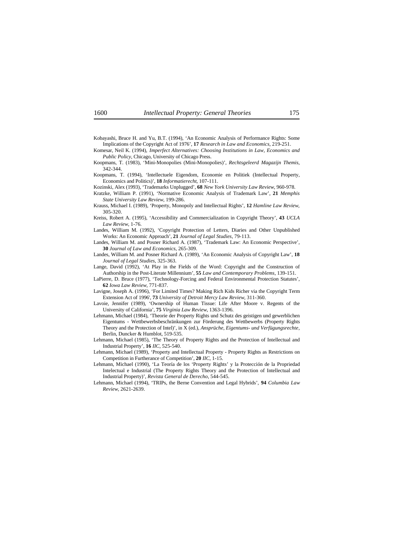- Kobayashi, Bruce H. and Yu, B.T. (1994), 'An Economic Analysis of Performance Rights: Some Implications of the Copyright Act of 1976', **17** *Research in Law and Economics*, 219-251.
- Komesar, Neil K. (1994), *Imperfect Alternatives: Choosing Institutions in Law, Economics and Public Policy*, Chicago, University of Chicago Press.
- Koopmans, T. (1983), 'Mini-Monopolies (Mini-Monopolies)', *Rechtsgeleerd Magazijn Themis*, 342-344.
- Koopmans, T. (1994), 'Intellectuele Eigendom, Economie en Politiek (Intellectual Property, Economics and Politics)', **18** *Informatierecht*, 107-111.
- Kozinski, Alex (1993), 'Trademarks Unplugged', **68** *New York University Law Review*, 960-978.
- Kratzke, William P. (1991), 'Normative Economic Analysis of Trademark Law', **21** *Memphis State University Law Review*, 199-286.
- Krauss, Michael I. (1989), 'Property, Monopoly and Intellectual Rights', **12** *Hamline Law Review*, 305-320.
- Kreiss, Robert A. (1995), 'Accessibility and Commercialization in Copyright Theory', **43** *UCLA Law Review*, 1-76.
- Landes, William M. (1992), 'Copyright Protection of Letters, Diaries and Other Unpublished Works: An Economic Approach', **21** *Journal of Legal Studies*, 79-113.
- Landes, William M. and Posner Richard A. (1987), 'Trademark Law: An Economic Perspective', **30** *Journal of Law and Economics*, 265-309.
- Landes, William M. and Posner Richard A. (1989), 'An Economic Analysis of Copyright Law', **18** *Journal of Legal Studies*, 325-363.
- Lange, David (1992), 'At Play in the Fields of the Word: Copyright and the Construction of Authorship in the Post-Literate Millennium', **55** *Law and Contemporary Problems*, 139-151.
- LaPierre, D. Bruce (1977), 'Technology-Forcing and Federal Environmental Protection Statutes', **62** *Iowa Law Review*, 771-837.
- Lavigne, Joseph A. (1996), 'For Limited Times? Making Rich Kids Richer via the Copyright Term Extension Act of 1996', **73** *University of Detroit Mercy Law Review*, 311-360.
- Lavoie, Jennifer (1989), 'Ownership of Human Tissue: Life After Moore v. Regents of the University of California', **75** *Virginia Law Review*, 1363-1396.
- Lehmann, Michael (1984), 'Theorie der Property Rights und Schutz des geistigen und gewerblichen Eigentums - Wettbewerbsbeschränkungen zur Förderung des Wettbewerbs (Property Rights Theory and the Protection of Intel)', in X (ed.), *Ansprüche, Eigentums- und Verfügungsrechte*, Berlin, Duncker & Humblot, 519-535.
- Lehmann, Michael (1985), 'The Theory of Property Rights and the Protection of Intellectual and Industrial Property', **16** *IIC*, 525-540.
- Lehmann, Michael (1989), 'Property and Intellectual Property Property Rights as Restrictions on Competition in Furtherance of Competition', **20** *IIC*, 1-15.
- Lehmann, Michael (1990), 'La Teoría de los 'Property Rights' y la Protección de la Propriedad Intelectual e Industrial (The Property Rights Theory and the Protection of Intellectual and Industrial Property)', *Revista General de Derecho*, 544-545.
- Lehmann, Michael (1994), 'TRIPs, the Berne Convention and Legal Hybrids', **94** *Columbia Law Review*, 2621-2639.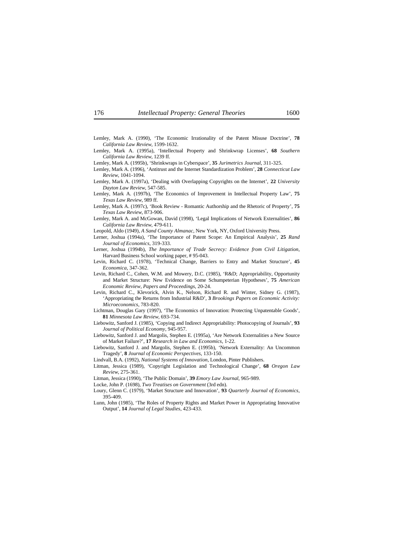- Lemley, Mark A. (1995a), 'Intellectual Property and Shrinkwrap Licenses', **68** *Southern California Law Review*, 1239 ff.
- Lemley, Mark A. (1995b), 'Shrinkwraps in Cyberspace', **35** *Jurimetrics Journal*, 311-325.
- Lemley, Mark A. (1996), 'Antitrust and the Internet Standardization Problem', **28** *Connecticut Law Review*, 1041-1094.
- Lemley, Mark A. (1997a), 'Dealing with Overlapping Copyrights on the Internet', **22** *University Dayton Law Review*, 547-585.
- Lemley, Mark A. (1997b), 'The Economics of Improvement in Intellectual Property Law', **75** *Texas Law Review*, 989 ff.
- Lemley, Mark A. (1997c), 'Book Review Romantic Authorship and the Rhetoric of Property', **75** *Texas Law Review*, 873-906.
- Lemley, Mark A. and McGowan, David (1998), 'Legal Implications of Network Externalities', **86** *California Law Review*, 479-611.
- Leopold, Aldo (1949), *A Sand County Almanac*, New York, NY, Oxford University Press.
- Lerner, Joshua (1994a), 'The Importance of Patent Scope: An Empirical Analysis', **25** *Rand Journal of Economics*, 319-333.
- Lerner, Joshua (1994b), *The Importance of Trade Secrecy: Evidence from Civil Litigation*, Harvard Business School working paper, # 95-043.
- Levin, Richard C. (1978), 'Technical Change, Barriers to Entry and Market Structure', **45** *Economica*, 347-362.
- Levin, Richard C., Cohen, W.M. and Mowery, D.C. (1985), 'R&D; Appropriability, Opportunity and Market Structure: New Evidence on Some Schumpeterian Hypotheses', **75** *American Economic Review, Papers and Proceedings*, 20-24.
- Levin, Richard C., Klevorick, Alvin K., Nelson, Richard R. and Winter, Sidney G. (1987), 'Appropriating the Returns from Industrial R&D', **3** *Brookings Papers on Economic Activity: Microeconomics*, 783-820.
- Lichtman, Douglas Gary (1997), 'The Economics of Innovation: Protecting Unpatentable Goods', **81** *Minnesota Law Review*, 693-734.
- Liebowitz, Sanford J. (1985), 'Copying and Indirect Appropriability: Photocopying of Journals', **93** *Journal of Political Economy*, 945-957.
- Liebowitz, Sanford J. and Margolis, Stephen E. (1995a), 'Are Network Externalities a New Source of Market Failure?', **17** *Research in Law and Economics*, 1-22.
- Liebowitz, Sanford J. and Margolis, Stephen E. (1995b), 'Network Externality: An Uncommon Tragedy', **8** *Journal of Economic Perspectives*, 133-150.
- Lindvall, B.A. (1992), *National Systems of Innovation*, London, Pinter Publishers.
- Litman, Jessica (1989), 'Copyright Legislation and Technological Change', **68** *Oregon Law Review*, 275-361.
- Litman, Jessica (1990), 'The Public Domain', **39** *Emory Law Journal*, 965-989.
- Locke, John P. (1698), *Two Treatises on Government* (3rd edn).
- Loury, Glenn C. (1979), 'Market Structure and Innovation', **93** *Quarterly Journal of Economics*, 395-409.
- Lunn, John (1985), 'The Roles of Property Rights and Market Power in Appropriating Innovative Output', **14** *Journal of Legal Studies*, 423-433.



Lemley, Mark A. (1990), 'The Economic Irrationality of the Patent Misuse Doctrine', **78** *California Law Review*, 1599-1632.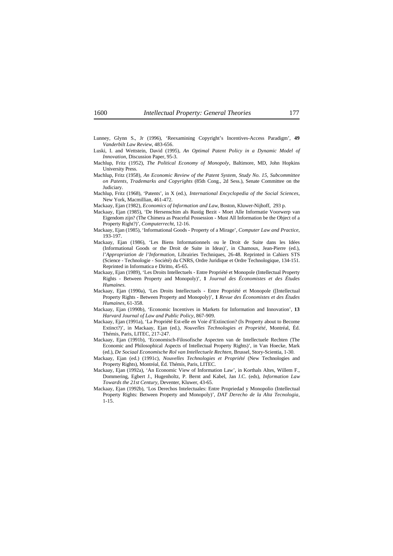- Lunney, Glynn S., Jr (1996), 'Reexamining Copyright's Incentives-Access Paradigm', **49** *Vanderbilt Law Review*, 483-656.
- Luski, I. and Wettstein, David (1995), *An Optimal Patent Policy in a Dynamic Model of Innovation*, Discussion Paper, 95-3.
- Machlup, Fritz (1952), *The Political Economy of Monopoly*, Baltimore, MD, John Hopkins University Press.
- Machlup, Fritz (1958), *An Economic Review of the Patent System, Study No. 15, Subcommittee on Patents, Trademarks and Copyrights* (85th Cong., 2d Sess.), Senate Committee on the Judiciary.
- Machlup, Fritz (1968), 'Patents', in X (ed.), *International Encyclopedia of the Social Sciences*, New York, Macmillian, 461-472.
- Mackaay, Ejan (1982), *Economics of Information and Law*, Boston, Kluwer-Nijhoff, 293 p.
- Mackaay, Ejan (1985), 'De Hersenschim als Rustig Bezit Moet Alle Informatie Voorwerp van Eigendom zijn? (The Chimera as Peaceful Possession - Must All Information be the Object of a Property Right?)', *Computerrecht*, 12-16.
- Mackaay, Ejan (1985), 'Informational Goods Property of a Mirage', *Computer Law and Practice*, 193-197.
- Mackaay, Ejan (1986), 'Les Biens Informationnels ou le Droit de Suite dans les Idées (Informational Goods or the Droit de Suite in Ideas)', in Chamoux, Jean-Pierre (ed.), *l'Appropriation de l'Information*, Librairies Techniques, 26-48. Reprinted in Cahiers STS (Science - Technologie - Société) du CNRS, Ordre Juridique et Ordre Technologique, 134-151. Reprinted in Informatica e Diritto, 45-65.
- Mackaay, Ejan (1989), 'Les Droits Intellectuels Entre Propriété et Monopole (Intellectual Property Rights - Between Property and Monopoly)', **1** *Journal des Économistes et des Études Humaines*.
- Mackaay, Ejan (1990a), 'Les Droits Intellectuels Entre Propriété et Monopole ([Intellectual Property Rights - Between Property and Monopoly)', **1** *Revue des Économistes et des Études Humaines*, 61-358.
- Mackaay, Ejan (1990b), 'Economic Incentives in Markets for Information and Innovation', **13** *Harvard Journal of Law and Public Policy*, 867-909.
- Mackaay, Ejan (1991a), 'La Propriété Est-elle en Voie d'Extinction? (Is Property about to Become Extinct?)', in Mackaay, Ejan (ed.), *Nouvelles Technologies et Propriété*, Montréal, Éd. Thémis, Paris, LITEC, 217-247.
- Mackaay, Ejan (1991b), 'Economisch-Filosofische Aspecten van de Intellectuele Rechten (The Economic and Philosophical Aspects of Intellectual Property Rights)', in Van Hoecke, Mark (ed.), *De Sociaal Economische Rol van Intellectuele Rechten*, Brussel, Story-Scientia, 1-30.
- Mackaay, Ejan (ed.) (1991c), *Nouvelles Technologies et Propriété* (New Technologies and Property Rights), Montréal, Éd. Thémis, Paris, LITEC.
- Mackaay, Ejan (1992a), 'An Economic View of Information Law', in Korthals Altes, Willem F., Dommering, Egbert J., Hugenholtz, P. Bernt and Kabel, Jan J.C. (eds), *Information Law Towards the 21st Century*, Deventer, Kluwer, 43-65.
- Mackaay, Ejan (1992b), 'Los Derechos Intelectuales: Entre Propriedad y Monopolio (Intellectual Property Rights: Between Property and Monopoly)', *DAT Derecho de la Alta Tecnologia*, 1-15.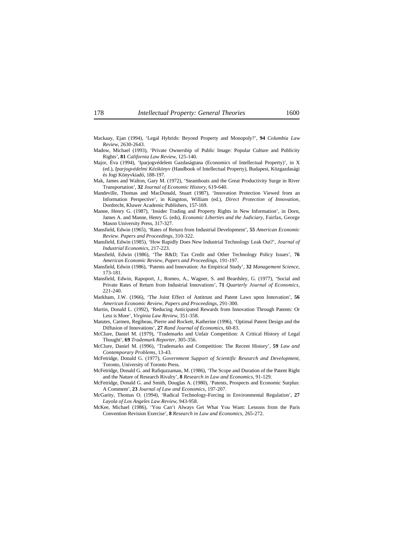- Mackaay, Ejan (1994), 'Legal Hybrids: Beyond Property and Monopoly?', **94** *Columbia Law Review*, 2630-2643.
- Madow, Michael (1993), 'Private Ownership of Public Image: Popular Culture and Publicity Rights', **81** *California Law Review*, 125-140.
- Major, Éva (1994), 'Iparjogvédelem Gazdaságtana (Economics of Intellectual Property)', in X (ed.), *Iparjogvédelmi Kézikönyv* (Handbook of Intellectual Property), Budapest, Közgazdasági és Jogi Könyvkiadó, 188-197.
- Mak, James and Walton, Gary M. (1972), 'Steamboats and the Great Productivity Surge in River Transportation', **32** *Journal of Economic History*, 619-640.
- Mandeville, Thomas and MacDonald, Stuart (1987), 'Innovation Protection Viewed from an Information Perspective', in Kingston, William (ed.), *Direct Protection of Innovation*, Dordrecht, Kluwer Academic Publishers, 157-169.
- Manne, Henry G. (1987), 'Insider Trading and Property Rights in New Information', in Dorn, James A. and Manne, Henry G. (eds), *Economic Liberties and the Judiciary*, Fairfax, George Mason University Press, 317-327.
- Mansfield, Edwin (1965), 'Rates of Return from Industrial Development', **55** *American Economic Review. Papers and Proceedings*, 310-322.
- Mansfield, Edwin (1985), 'How Rapidly Does New Industrial Technology Leak Out?', *Journal of Industrial Economics*, 217-223.
- Mansfield, Edwin (1986), 'The R&D; Tax Credit and Other Technology Policy Issues', **76** *American Economic Review, Papers and Proceedings*, 191-197.
- Mansfield, Edwin (1986), 'Patents and Innovation: An Empirical Study', **32** *Management Science*, 173-181.
- Mansfield, Edwin, Rapoport, J., Romeo, A., Wagner, S. and Beardsley, G. (1977), 'Social and Private Rates of Return from Industrial Innovations', **71** *Quarterly Journal of Economics*, 221-240.
- Markham, J.W. (1966), 'The Joint Effect of Antitrust and Patent Laws upon Innovation', **56** *American Economic Review, Papers and Proceedings*, 291-300.
- Martin, Donald L. (1992), 'Reducing Anticipated Rewards from Innovation Through Patents: Or Less is More', *Virginia Law Review*, 351-358.
- Matutes, Carmen, Regibeau, Pierre and Rockett, Katherine (1996), 'Optimal Patent Design and the Diffusion of Innovations', **27** *Rand Journal of Economics*, 60-83.
- McClure, Daniel M. (1979), 'Trademarks and Unfair Competition: A Critical History of Legal Thought', **69** *Trademark Reporter*, 305-356.
- McClure, Daniel M. (1996), 'Trademarks and Competition: The Recent History', **59** *Law and Contemporary Problems*, 13-43.
- McFetridge, Donald G. (1977), *Government Support of Scientific Research and Development*, Toronto, University of Toronto Press.
- McFetridge, Donald G. and Rafiquzzaman, M. (1986), 'The Scope and Duration of the Patent Right and the Nature of Research Rivalry', **8** *Research in Law and Economics*, 91-129.
- McFetridge, Donald G. and Smith, Douglas A. (1980), 'Patents, Prospects and Economic Surplus: A Comment', **23** *Journal of Law and Economics*, 197-207.
- McGarity, Thomas O. (1994), 'Radical Technology-Forcing in Environmental Regulation', **27** *Layola of Los Angeles Law Review*, 943-958.
- McKee, Michael (1986), 'You Can't Always Get What You Want: Lessons from the Paris Convention Revision Exercise', **8** *Research in Law and Economics*, 265-272.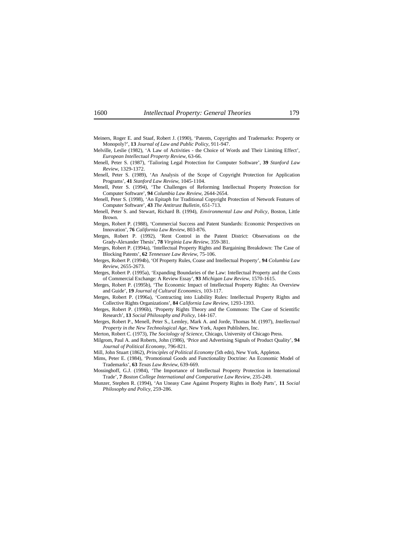- Meiners, Roger E. and Staaf, Robert J. (1990), 'Patents, Copyrights and Trademarks: Property or Monopoly?', **13** *Journal of Law and Public Policy*, 911-947.
- Melville, Leslie (1982), 'A Law of Activities the Choice of Words and Their Limiting Effect', *European Intellectual Property Review*, 63-66.
- Menell, Peter S. (1987), 'Tailoring Legal Protection for Computer Software', **39** *Stanford Law Review*, 1329-1372.
- Menell, Peter S. (1989), 'An Analysis of the Scope of Copyright Protection for Application Programs', **41** *Stanford Law Review*, 1045-1104.
- Menell, Peter S. (1994), 'The Challenges of Reforming Intellectual Property Protection for Computer Software', **94** *Columbia Law Review*, 2644-2654.
- Menell, Peter S. (1998), 'An Epitaph for Traditional Copyright Protection of Network Features of Computer Software', **43** *The Antitrust Bulletin*, 651-713.
- Menell, Peter S. and Stewart, Richard B. (1994), *Environmental Law and Policy*, Boston, Little Brown.
- Merges, Robert P. (1988), 'Commercial Success and Patent Standards: Economic Perspectives on Innovation', **76** *California Law Review*, 803-876.
- Merges, Robert P. (1992), 'Rent Control in the Patent District: Observations on the Grady-Alexander Thesis', **78** *Virginia Law Review*, 359-381.
- Merges, Robert P. (1994a), 'Intellectual Property Rights and Bargaining Breakdown: The Case of Blocking Patents', **62** *Tennessee Law Review*, 75-106.
- Merges, Robert P. (1994b), 'Of Property Rules, Coase and Intellectual Property', **94** *Columbia Law Review*, 2655-2673.
- Merges, Robert P. (1995a), 'Expanding Boundaries of the Law: Intellectual Property and the Costs of Commercial Exchange: A Review Essay', **93** *Michigan Law Review*, 1570-1615.
- Merges, Robert P. (1995b), 'The Economic Impact of Intellectual Property Rights: An Overview and Guide', **19** *Journal of Cultural Economics*, 103-117.
- Merges, Robert P. (1996a), 'Contracting into Liability Rules: Intellectual Property Rights and Collective Rights Organizations', **84** *California Law Review*, 1293-1393.
- Merges, Robert P. (1996b), 'Property Rights Theory and the Commons: The Case of Scientific Research', **13** *Social Philosophy and Policy*, 144-167.
- Merges, Robert P., Menell, Peter S., Lemley, Mark A. and Jorde, Thomas M. (1997), *Intellectual Property in the New Technological Age*, New York, Aspen Publishers, Inc.
- Merton, Robert C. (1973), *The Sociology of Science*, Chicago, University of Chicago Press.
- Milgrom, Paul A. and Roberts, John (1986), 'Price and Advertising Signals of Product Quality', **94** *Journal of Political Economy*, 796-821.

Mill, John Stuart (1862), *Principles of Political Economy* (5th edn), New York, Appleton.

- Mims, Peter E. (1984), 'Promotional Goods and Functionality Doctrine: An Economic Model of Trademarks', **63** *Texas Law Review*, 639-669.
- Mossinghoff, G.J. (1984), 'The Importance of Intellectual Property Protection in International Trade', **7** *Boston College International and Comparative Law Review*, 235-249.
- Munzer, Stephen R. (1994), 'An Uneasy Case Against Property Rights in Body Parts', **11** *Social Philosophy and Policy*, 259-286.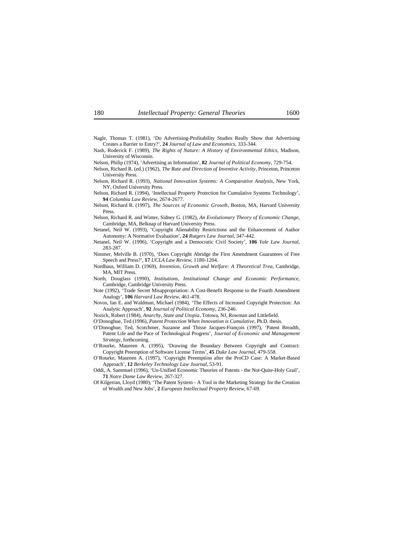| 180 | Intellectual Property: General Theories | 1600 |
|-----|-----------------------------------------|------|
|     |                                         |      |

- Nelson, Richard R. (ed.) (1962), *The Rate and Direction of Inventive Activity*, Princeton, Princeton University Press.
- Nelson, Richard R. (1993), *National Innovation Systems: A Comparative Analysis*, New York, NY, Oxford University Press.

Nelson, Richard R. (1994), 'Intellectual Property Protection for Cumulative Systems Technology', **94** *Columbia Law Review*, 2674-2677.

- Nelson, Richard R. (1997), *The Sources of Economic Growth*, Boston, MA, Harvard University Press.
- Nelson, Richard R. and Winter, Sidney G. (1982), *An Evolutionary Theory of Economic Change*, Cambridge, MA, Belknap of Harvard University Press.
- Netanel, Neil W. (1993), 'Copyright Alienability Restrictions and the Enhancement of Author Autonomy: A Normative Evaluation', **24** *Rutgers Law Journal*, 347-442.
- Netanel, Neil W. (1996), 'Copyright and a Democratic Civil Society', **106** *Yale Law Journal*, 283-287.

Nimmer, Melville B. (1970), 'Does Copyright Abridge the First Amendment Guarantees of Free Speech and Press?', **17** *UCLA Law Review*, 1180-1204.

- Nordhaus, William D. (1969), *Invention, Growth and Welfare: A Theoretical Trea*, Cambridge, MA, MIT Press.
- North, Douglass (1990), *Institutions, Institutional Change and Economic Performance*, Cambridge, Cambridge University Press.
- Note (1992), 'Trade Secret Misappropriation: A Cost-Benefit Response to the Fourth Amendment Analogy', **106** *Harvard Law Review*, 461-478.
- Novos, Ian E. and Waldman, Michael (1984), 'The Effects of Increased Copyright Protection: An Analytic Approach', **92** *Journal of Political Economy*, 236-246.
- Nozick, Robert (1984), *Anarchy, State and Utopia*, Totowa, NJ, Rowman and Littlefield.

O'Donoghue, Ted (1996), *Patent Protection When Innovation is Cumulative*, Ph.D. thesis.

- O'Donoghue, Ted, Scotchmer, Suzanne and Thisse Jacques-François (1997), 'Patent Breadth, Patent Life and the Pace of Technological Progress', *Journal of Economic and Management Strategy*, forthcoming.
- O'Rourke, Maureen A. (1995), 'Drawing the Boundary Between Copyright and Contract: Copyright Preemption of Software License Terms', **45** *Duke Law Journal*, 479-558.
- O'Rourke, Maureen A. (1997), 'Copyright Preemption after the ProCD Case: A Market-Based Approach', **12** *Berkeley Technology Law Journal*, 53-91.
- Oddi, A. Sammuel (1996), 'Un-Unified Economic Theories of Patents the Not-Quite-Holy Grail', **71** *Notre Dame Law Review*, 267-327.
- Of Kilgerran, Lloyd (1980), 'The Patent System A Tool in the Marketing Strategy for the Creation of Wealth and New Jobs', **2** *European Intellectual Property Review*, 67-69.

Nagle, Thomas T. (1981), 'Do Advertising-Profitability Studies Really Show that Advertising Creates a Barrier to Entry?', **24** *Journal of Law and Economics*, 333-344.

Nash, Roderick F. (1989), *The Rights of Nature: A History of Environmental Ethics*, Madison, University of Wisconsin.

Nelson, Philip (1974), 'Advertising as Information', **82** *Journal of Political Economy*, 729-754.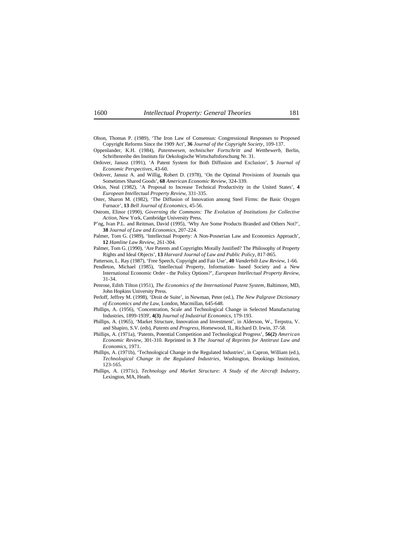- Olson, Thomas P. (1989), 'The Iron Law of Consensus: Congressional Responses to Proposed Copyright Reforms Since the 1909 Act', **36** *Journal of the Copyright Society*, 109-137.
- Oppenlander, K.H. (1984), *Patentwesen, technischer Fortschritt and Wettbewerb*, Berlin, Schriftenreihe des Instituts für Oekologische Wirtschaftsforschung Nr. 31.
- Ordover, Janusz (1991), 'A Patent System for Both Diffusion and Exclusion', **5** *Journal of Economic Perspectives*, 43-60.
- Ordover, Janusz A. and Willig, Robert D. (1978), 'On the Optimal Provisions of Journals qua Sometimes Shared Goods', **68** *American Economic Review*, 324-339.
- Orkin, Neal (1982), 'A Proposal to Increase Technical Productivity in the United States', **4** *European Intellectual Property Review*, 331-335.
- Oster, Sharon M. (1982), 'The Diffusion of Innovation among Steel Firms: the Basic Oxygen Furnace', **13** *Bell Journal of Economics*, 45-56.
- Ostrom, Elinor (1990), *Governing the Commons: The Evolution of Institutions for Collective Action*, New York, Cambridge University Press.
- P'ng, Ivan P.L. and Reitman, David (1995), 'Why Are Some Products Branded and Others Not?', **38** *Journal of Law and Economics*, 207-224.
- Palmer, Tom G. (1989), 'Intellectual Property: A Non-Posnerian Law and Economics Approach', **12** *Hamline Law Review*, 261-304.
- Palmer, Tom G. (1990), 'Are Patents and Copyrights Morally Justified? The Philosophy of Property Rights and Ideal Objects', **13** *Harvard Journal of Law and Public Policy*, 817-865.
- Patterson, L. Ray (1987), 'Free Speech, Copyright and Fair Use', **40** *Vanderbilt Law Review*, 1-66.
- Pendleton, Michael (1985), 'Intellectual Property, Information- based Society and a New International Economic Order - the Policy Options?', *European Intellectual Property Review*, 31-34.
- Penrose, Edith Tilton (1951), *The Economics of the International Patent System*, Baltimore, MD, John Hopkins University Press.
- Perloff, Jeffrey M. (1998), 'Droit de Suite', in Newman, Peter (ed.), *The New Palgrave Dictionary of Economics and the Law*, London, Macmillan, 645-648.
- Phillips, A. (1956), 'Concentration, Scale and Technological Change in Selected Manufacturing Industries, 1899-1939', **4(3)** *Journal of Industrial Economics*, 179-193.
- Phillips, A. (1965), 'Market Structure, Innovation and Investment', in Alderson, W., Terpstra, V. and Shapiro, S.V. (eds), *Patents and Progress*, Homewood, IL, Richard D. Irwin, 37-58.
- Phillips, A. (1971a), 'Patents, Potential Competition and Technological Progress', **56(2)** *American Economic Review*, 301-310. Reprinted in **3** *The Journal of Reprints for Antitrust Law and Economics*, 1971.
- Phillips, A. (1971b), 'Technological Change in the Regulated Industries', in Capron, William (ed.), *Technological Change in the Regulated Industries*, Washington, Brookings Institution, 123-165.
- Phillips, A. (1971c), *Technology and Market Structure: A Study of the Aircraft Industry*, Lexington, MA, Heath.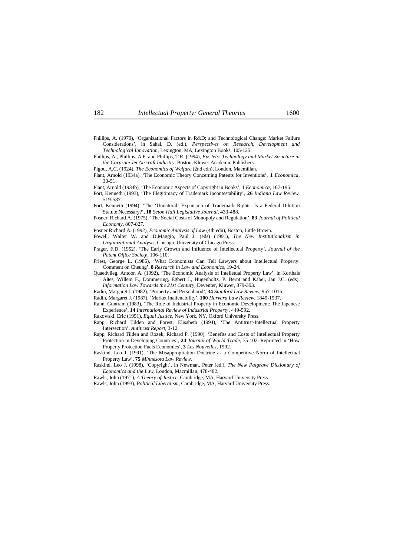- Phillips, A. (1979), 'Organizational Factors in R&D; and Technological Change: Market Failure Considerations', in Sahal, D. (ed.), *Perspectives on Research, Development and Technological Innovation*, Lexington, MA, Lexington Books, 105-125.
- Phillips, A., Phillips, A.P. and Phillips, T.R. (1994), *Biz Jets: Technology and Market Structure in the Corprate Jet Aircraft Industry*, Boston, Kluwer Academic Publishers.
- Pigou, A.C. (1924), *The Economics of Welfare* (2nd edn), London, Macmillan.
- Plant, Arnold (1934a), 'The Economic Theory Concerning Patents for Inventions', **1** *Economica*, 30-51.
- Plant, Arnold (1934b), 'The Economic Aspects of Copyright in Books', **1** *Economica*, 167-195.
- Port, Kenneth (1993), 'The Illegitimacy of Trademark Incontestability', **26** *Indiana Law Review*, 519-587.
- Port, Kenneth (1994), 'The 'Unnatural' Expansion of Trademark Rights: Is a Federal Dilution Statute Necessary?', **18** *Seton Hall Legislative Journal*, 433-488.
- Posner, Richard A. (1975), 'The Social Costs of Monopoly and Regulation', **83** *Journal of Political Economy*, 807-827.
- Posner Richard A. (1992), *Economic Analysis of Law* (4th edn), Boston, Little Brown.
- Powell, Walter W. and DiMaggio, Paul J. (eds) (1991), *The New Institutionalism in Organizational Analysis*, Chicago, University of Chicago Press.
- Prager, F.D. (1952), 'The Early Growth and Influence of Intellectual Property', *Journal of the Patent Office Society*, 106-110.
- Priest, George L. (1986), 'What Economists Can Tell Lawyers about Intellectual Property: Comment on Cheung', **8** *Research in Law and Economics*, 19-24.
- Quaedvlieg, Antoon A. (1992), 'The Economic Analysis of Intelletual Property Law', in Korthals Altes, Willem F., Dommering, Egbert J., Hugenholtz, P. Bernt and Kabel, Jan J.C. (eds), *Information Law Towards the 21st Century*, Deventer, Kluwer, 379-393.
- Radin, Margaret J. (1982), 'Property and Personhood', **34** *Stanford Law Review*, 957-1015.
- Radin, Margaret J. (1987), 'Market Inalienability', **100** *Harvard Law Review*, 1849-1937.
- Rahn, Guntram (1983), 'The Role of Industrial Property in Economic Development: The Japanese Experience', **14** *International Review of Industrial Property*, 449-592.
- Rakowski, Eric (1991), *Equal Justice*, New York, NY, Oxford University Press.
- Rapp, Richard Tilden and Forest, Elisabeth (1994), 'The Antitrust-Intellectual Property Intersection', *Antitrust Report*, 3-12.
- Rapp, Richard Tilden and Rozek, Richard P. (1990), 'Benefits and Costs of Intellectual Property Protection in Developing Countries', **24** *Journal of World Trade*, 75-102. Reprinted in 'How Property Protection Fuels Economies', **3** *Les Nouvelles*, 1992.
- Raskind, Leo J. (1991), 'The Misappropriation Doctrine as a Competitive Norm of Intellectual Property Law', **75** *Minnesota Law Review*.
- Raskind, Leo J. (1998), 'Copyright', in Newman, Peter (ed.), *The New Palgrave Dictionary of Economics and the Law*, London, Macmillan, 478-482.
- Rawls, John (1971), *A Theory of Justice*, Cambridge, MA, Harvard University Press.
- Rawls, John (1993), *Political Liberalism*, Cambridge, MA, Harvard University Press.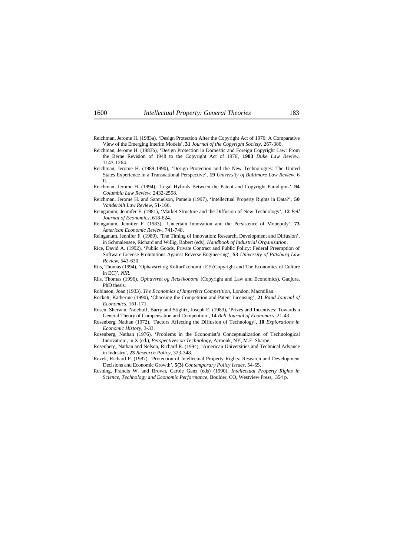- Reichman, Jerome H. (1983a), 'Design Protection After the Copyright Act of 1976: A Comparative View of the Emerging Interim Models', **31** *Journal of the Copyright Society*, 267-386.
- Reichman, Jerome H. (1983b), 'Design Protection in Domestic and Foreign Copyright Law: From the Berne Revision of 1948 to the Copyright Act of 1976', **1983** *Duke Law Review*, 1143-1264.
- Reichman, Jerome H. (1989-1990), 'Design Protection and the New Technologies: The United States Experience in a Transnational Perspective', **19** *University of Baltimore Law Review*, 6 ff.
- Reichman, Jerome H. (1994), 'Legal Hybrids Between the Patent and Copyright Paradigms', **94** *Columbia Law Review*, 2432-2558.
- Reichman, Jerome H. and Samuelson, Pamela (1997), 'Intellectual Property Rights in Data?', **50** *Vanderbilt Law Review*, 51-166.
- Reinganum, Jennifer F. (1981), 'Market Structure and the Diffusion of New Technology', **12** *Bell Journal of Economics*, 618-624.
- Reinganum, Jennifer F. (1983), 'Uncertain Innovation and the Persistence of Monopoly', **73** *American Economic Review*, 741-748.
- Reinganum, Jennifer F. (1989), 'The Timing of Innovation: Research, Development and Diffusion', in Schmalensee, Richard and Willig, Robert (eds), *Handbook of Industrial Organization*.
- Rice, David A. (1992), 'Public Goods, Private Contract and Public Policy: Federal Preemption of Software License Prohibitions Against Reverse Engineering', **53** *University of Pittsburg Law Review*, 543-630.
- Riis, Thomas (1994), 'Ophavsret og Kultur¢konomi i EF (Copyright and The Economics of Culture in  $FCY$ , *NIR*.
- Riis, Thomas (1996), *Ophavsret og Rets¢konomi* (Copyright and Law and Economics), Gadjura, PhD thesis.
- Robinson, Joan (1933), *The Economics of Imperfect Competition*, London, Macmillan.
- Rockett, Katherine (1990), 'Choosing the Competition and Patent Licensing', **21** *Rand Journal of Economics*, 161-171.
- Rosen, Sherwin, Nalebuff, Barry and Stiglitz, Joseph E. (1983), 'Prizes and Incentives: Towards a General Theory of Compensation and Competition', **14** *Bell Journal of Economics*, 21-43.
- Rosenberg, Nathan (1972), 'Factors Affecting the Diffusion of Technology', **10** *Explorations in Economic History*, 3-33.
- Rosenberg, Nathan (1976), 'Problems in the Economist's Conceptualization of Technological Innovation', in X (ed.), *Perspectives on Technology*, Armonk, NY, M.E. Sharpe.
- Rosenberg, Nathan and Nelson, Richard R. (1994), 'American Universities and Technical Advance in Industry', **23** *Research Policy*, 323-348.
- Rozek, Richard P. (1987), 'Protection of Intellectual Property Rights: Research and Development Decisions and Economic Growth', **5(3)** *Contemporary Policy Issues*, 54-65.
- Rushing, Francis W. and Brown, Carole Ganz (eds) (1990), *Intellectual Property Rights in Science, Technology and Economic Performance*, Boulder, CO, Westview Press, 354 p.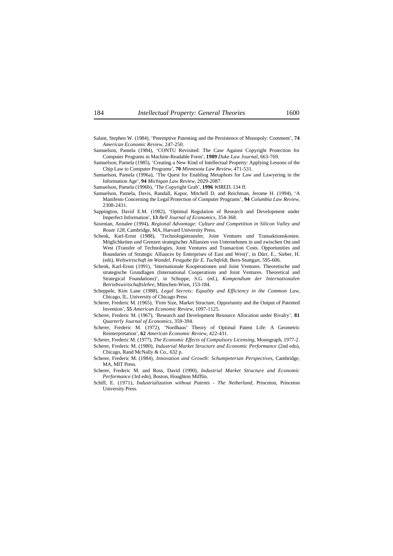- Salant, Stephen W. (1984), 'Preemptive Patenting and the Persistence of Monopoly: Comment', **74** *American Economic Review*, 247-250.
- Samuelson, Pamela (1984), 'CONTU Revisited: The Case Against Copyright Protection for Computer Programs in Machine-Readable Form', **1989** *Duke Law Journal*, 663-769.
- Samuelson, Pamela (1985), 'Creating a New Kind of Intellectual Property: Applying Lessons of the Chip Law to Computer Programs', **70** *Minnesota Law Review*, 471-531.
- Samuelson, Pamela (1996a), 'The Quest for Enabling Metaphors for Law and Lawyering in the Information Age', **94** *Michigan Law Review*, 2029-2087.

Samuelson, Pamela (1996b), 'The Copyright Grab', **1996** *WIRED*, 134 ff.

- Samuelson, Pamela, Davis, Randall, Kapor, Mitchell D. and Reichman, Jerome H. (1994), 'A Manifesto Concerning the Legal Protection of Computer Programs', **94** *Columbia Law Review*, 2308-2431.
- Sappington, David E.M. (1982), 'Optimal Regulation of Research and Development under Imperfect Information', **13** *Bell Journal of Economics*, 354-368.
- Saxenian, Annalee (1994), *Regional Advantage: Culture and Competition in Silicon Valley and Route 128*, Cambridge, MA, Harvard University Press.
- Schenk, Karl-Ernst (1988), 'Technologietransfer, Joint Ventures und Transaktionskosten. Möglichkeiten und Grenzen strategischer Allianzen von Unternehmen in und zwischen Ost und West (Transfer of Technologies, Joint Ventures and Transaction Costs. Opportunities and Boundaries of Strategic Alliances by Enterprises of East and West)', in Dürr, E., Sieber, H. (eds), *Weltwirtschaft im Wandel, Festgabe für E. Tuchtfeldt*, Bern-Stuttgart, 595-606.
- Schenk, Karl-Ernst (1991), 'Internationale Kooperationen und Joint Ventures. Theoretische und strategische Grundlagen (International Cooperations and Joint Ventures. Theoretical and Strategical Foundations)', in Schoppe, S.G. (ed.), *Kompendium der Internationalen Betriebswirtschaftslehre*, München-Wien, 153-184.
- Scheppele, Kim Lane (1988), *Legal Secrets: Equality and Efficiency in the Common Law*, Chicago, IL, University of Chicago Press
- Scherer, Frederic M. (1965), 'Firm Size, Market Structure, Opportunity and the Output of Patented Invention', **55** *American Economic Review*, 1097-1125.
- Scherer, Frederic M. (1967), 'Research and Development Resource Allocation under Rivalry', **81** *Quarterly Journal of Economics*, 359-394.

Scherer, Frederic M. (1972), 'Nordhaus' Theory of Optimal Patent Life: A Geometric Reinterpretation', **62** *American Economic Review*, 422-431.

Scherer, Frederic M. (1977), *The Economic Effects of Compulsory Licensing*, Monograph, 1977-2.

- Scherer, Frederic M. (1980), *Industrial Market Structure and Economic Performance* (2nd edn), Chicago, Rand McNally & Co., 632 p.
- Scherer, Frederic M. (1984), *Innovation and Growth: Schumpeterian Perspectives*, Cambridge, MA, MIT Press.

Scherer, Frederic M. and Ross, David (1990), *Industrial Market Structure and Economic Performance* (3rd edn), Boston, Houghton Mifflin.

Schiff, E. (1971), *Industrialization without Patents - The Netherland*, Princeton, Princeton University Press.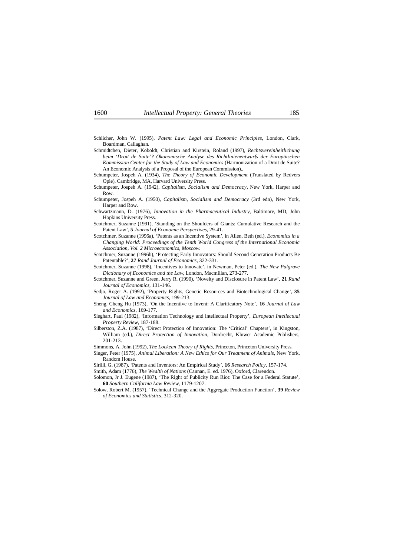- Schlicher, John W. (1995), *Patent Law: Legal and Economic Principles*, London, Clark, Boardman, Callaghan.
- Schmidtchen, Dieter, Koboldt, Christian and Kirstein, Roland (1997), *Rechtsvereinheitlichung beim 'Droit de Suite'? Ökonomische Analyse des Richtlinienentwurfs der Europäischen Kommission Center for the Study of Law and Economics* (Harmonization of a Droit de Suite? An Economic Analysis of a Proposal of the European Commission)..
- Schumpeter, Jospeh A. (1934), *The Theory of Economic Development* (Translated by Redvers Opie), Cambridge, MA, Harvard University Press.
- Schumpeter, Jospeh A. (1942), *Capitalism, Socialism and Democracy*, New York, Harper and Row.
- Schumpeter, Jospeh A. (1950), *Capitalism, Socialism and Democracy* (3rd edn), New York, Harper and Row.
- Schwartzmann, D. (1976), *Innovation in the Pharmaceutical Industry*, Baltimore, MD, John Hopkins University Press.
- Scotchmer, Suzanne (1991), 'Standing on the Shoulders of Giants: Cumulative Research and the Patent Law', **5** *Journal of Economic Perspectives*, 29-41.
- Scotchmer, Suzanne (1996a), 'Patents as an Incentive System', in Allen, Beth (ed.), *Economics in a Changing World: Proceedings of the Tenth World Congress of the International Economic Association, Vol. 2 Microeconomics, Moscow*.
- Scotchmer, Suzanne (1996b), 'Protecting Early Innovators: Should Second Generation Products Be Patentable?', **27** *Rand Journal of Economics*, 322-331.
- Scotchmer, Suzanne (1998), 'Incentives to Innovate', in Newman, Peter (ed.), *The New Palgrave Dictionary of Economics and the Law*, London, Macmillan, 273-277.
- Scotchmer, Suzanne and Green, Jerry R. (1990), 'Novelty and Disclosure in Patent Law', **21** *Rand Journal of Economics*, 131-146.
- Sedjo, Roger A. (1992), 'Property Rights, Genetic Resources and Biotechnological Change', **35** *Journal of Law and Economics*, 199-213.
- Sheng, Cheng Hu (1973), 'On the Incentive to Invent: A Clarificatory Note', **16** *Journal of Law and Economics*, 169-177.
- Sieghart, Paul (1982), 'Information Technology and lntellectual Property', *European Intellectual Property Review*, 187-188.
- Silberston, Z.A. (1987), 'Direct Protection of Innovation: The 'Critical' Chapters', in Kingston, William (ed.), *Direct Protection of Innovation*, Dordrecht, Kluwer Academic Publishers, 201-213.
- Simmons, A. John (1992), *The Lockean Theory of Rights*, Princeton, Princeton University Press.
- Singer, Peter (1975), *Animal Liberation: A New Ethics for Our Treatment of Animals*, New York, Random House.
- Sirilli, G. (1987), 'Patents and Inventors: An Empirical Study', **16** *Research Policy*, 157-174.
- Smith, Adam (1776), *The Wealth of Nations* (Cannan, E. ed. 1976), Oxford, Clarendon.
- Solomon, Jr J. Eugene (1987), 'The Right of Publicity Run Riot: The Case for a Federal Statute', **60** *Southern California Law Review*, 1179-1207.
- Solow, Robert M. (1957), 'Technical Change and the Aggregate Production Function', **39** *Review of Economics and Statistics*, 312-320.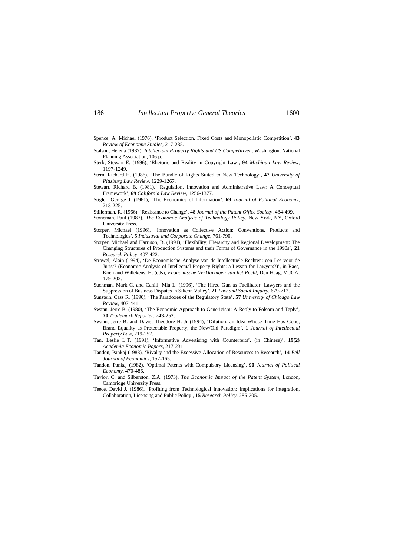- Stalson, Helena (1987), *Intellectual Property Rights and US Competitiven*, Washington, National Planning Association, 106 p.
- Sterk, Stewart E. (1996), 'Rhetoric and Reality in Copyright Law', **94** *Michigan Law Review*, 1197-1249.
- Stern, Richard H. (1986), 'The Bundle of Rights Suited to New Technology', **47** *University of Pittsburg Law Review*, 1229-1267.
- Stewart, Richard B. (1981), 'Regulation, Innovation and Administrative Law: A Conceptual Framework', **69** *California Law Review*, 1256-1377.
- Stigler, George J. (1961), 'The Economics of Information', **69** *Journal of Political Economy*, 213-225.
- Stillerman, R. (1966), 'Resistance to Change', **48** *Journal of the Patent Office Society*, 484-499.
- Stoneman, Paul (1987), *The Economic Analysis of Technology Policy*, New York, NY, Oxford University Press.
- Storper, Michael (1996), 'Innovation as Collective Action: Conventions, Products and Technologies', **5** *Industrial and Corporate Change*, 761-790.
- Storper, Michael and Harrison, B. (1991), 'Flexibility, Hierarchy and Regional Development: The Changing Structures of Production Systems and their Forms of Governance in the 1990s', **21** *Research Policy*, 407-422.
- Strowel, Alain (1994), 'De Economische Analyse van de Intellectuele Rechten: een Les voor de Jurist? (Economic Analysis of Intellectual Property Rights: a Lesson for Lawyers?)', in Raes, Koen and Willekens, H. (eds), *Economische Verklaringen van het Recht*, Den Haag, VUGA, 179-202.
- Suchman, Mark C. and Cahill, Mia L. (1996), 'The Hired Gun as Facilitator: Lawyers and the Suppression of Business Disputes in Silicon Valley', **21** *Law and Social Inquiry*, 679-712.
- Sunstein, Cass R. (1990), 'The Paradoxes of the Regulatory State', **57** *University of Chicago Law Review*, 407-441.
- Swann, Jerre B. (1980), 'The Economic Approach to Genericism: A Reply to Folsom and Teply', **70** *Trademark Reporter*, 243-252.
- Swann, Jerre B. and Davis, Theodore H. Jr (1994), 'Dilution, an Idea Whose Time Has Gone, Brand Equality as Protectable Property, the New/Old Paradigm', **1** *Journal of Intellectual Property Law*, 219-257.
- Tan, Leslie L.T. (1991), 'Informative Advertising with Counterfeits', (in Chinese)', **19(2)** *Academia Economic Papers*, 217-231.
- Tandon, Pankaj (1983), 'Rivalry and the Excessive Allocation of Resources to Research', **14** *Bell Journal of Economics*, 152-165.
- Tandon, Pankaj (1982), 'Optimal Patents with Compulsory Licensing', **90** *Journal of Political Economy*, 470-486.
- Taylor, C. and Silberston, Z.A. (1973), *The Economic Impact of the Patent System*, London, Cambridge University Press.
- Teece, David J. (1986), 'Profiting from Technological Innovation: Implications for Integration, Collaboration, Licensing and Public Policy', **15** *Research Policy*, 285-305.

Spence, A. Michael (1976), 'Product Selection, Fixed Costs and Monopolistic Competition', **43** *Review of Economic Studies*, 217-235.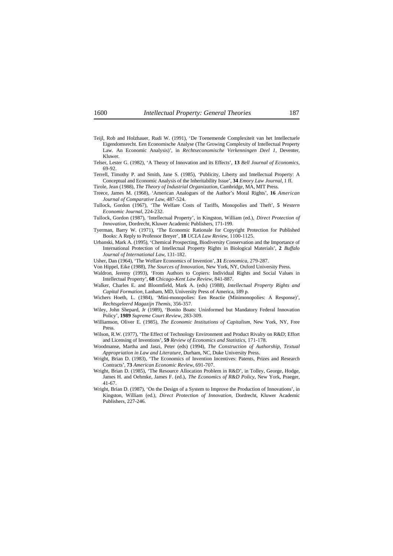- Teijl, Rob and Holzhauer, Rudi W. (1991), 'De Toenemende Complexiteit van het Intellectuele Eigendomsrecht. Een Economische Analyse (The Growing Complexity of Intellectual Property Law. An Economic Analysis)', in *Rechtseconomische Verkenningen Deel 1*, Deventer, Kluwer.
- Telser, Lester G. (1982), 'A Theory of Innovation and its Effects', **13** *Bell Journal of Economics*, 69-92.
- Terrell, Timothy P. and Smith, Jane S. (1985), 'Publicity, Liberty and Intellectual Property: A Conceptual and Economic Analysis of the Inheritability Issue', **34** *Emory Law Journal*, 1 ff.

Tirole, Jean (1988), *The Theory of Industrial Organization*, Cambridge, MA, MIT Press.

- Treece, James M. (1968), 'American Analogues of the Author's Moral Rights', **16** *American Journal of Comparative Law*, 487-524.
- Tullock, Gordon (1967), 'The Welfare Costs of Tariffs, Monopolies and Theft', **5** *Western Economic Journal*, 224-232.
- Tullock, Gordon (1987), 'Intellectual Property', in Kingston, William (ed.), *Direct Protection of Innovation*, Dordrecht, Kluwer Academic Publishers, 171-199.
- Tyerman, Barry W. (1971), 'The Economic Rationale for Copyright Protection for Published Books: A Reply to Professor Breyer', **18** *UCLA Law Review*, 1100-1125.
- Urbanski, Mark A. (1995), 'Chemical Prospecting, Biodiversity Conservation and the Importance of International Protection of Intellectual Property Rights in Biological Materials', **2** *Buffalo Journal of International Law*, 131-182.
- Usher, Dan (1964), 'The Welfare Economics of Invention', **31** *Economica*, 279-287.
- Von Hippel, Eike (1988), *The Sources of Innovation*, New York, NY, Oxford University Press.
- Waldron, Jeremy (1993), 'From Authors to Copiers: Individual Rights and Social Values in Intellectual Property', **68** *Chicago-Kent Law Review*, 841-887.
- Walker, Charles E. and Bloomfield, Mark A. (eds) (1988), *Intellectual Property Rights and Capital Formation*, Lanham, MD, University Press of America, 189 p.
- Wichers Hoeth, L. (1984), 'Mini-monopolies: Een Reactie (Minimonopolies: A Response)', *Rechtsgeleerd Magazijn Themis*, 356-357.
- Wiley, John Shepard, Jr (1989), 'Bonito Boats: Uninformed but Mandatory Federal Innovation Policy', **1989** *Supreme Court Review*, 283-309.
- Williamson, Oliver E. (1985), *The Economic Institutions of Capitalism*, New York, NY, Free Press.
- Wilson, R.W. (1977), 'The Effect of Technology Environment and Product Rivalry on R&D; Effort and Licensing of Inventions', **59** *Review of Economics and Statistics*, 171-178.
- Woodmanse, Martha and Jaszi, Peter (eds) (1994), *The Construction of Authorship, Textual Appropriation in Law and Literature*, Durham, NC, Duke University Press.
- Wright, Brian D. (1983), 'The Economics of Invention Incentives: Patents, Prizes and Research Contracts', **73** *American Economic Review*, 691-707.
- Wright, Brian D. (1985), 'The Resource Allocation Problem in R&D', in Tolley, George, Hodge, James H. and Oehmke, James F. (ed.), *The Economics of R&D Policy*, New York, Praeger, 41-67.
- Wright, Brian D. (1987), 'On the Design of a System to Improve the Production of Innovations', in Kingston, William (ed.), *Direct Protection of Innovation*, Dordrecht, Kluwer Academic Publishers, 227-246.